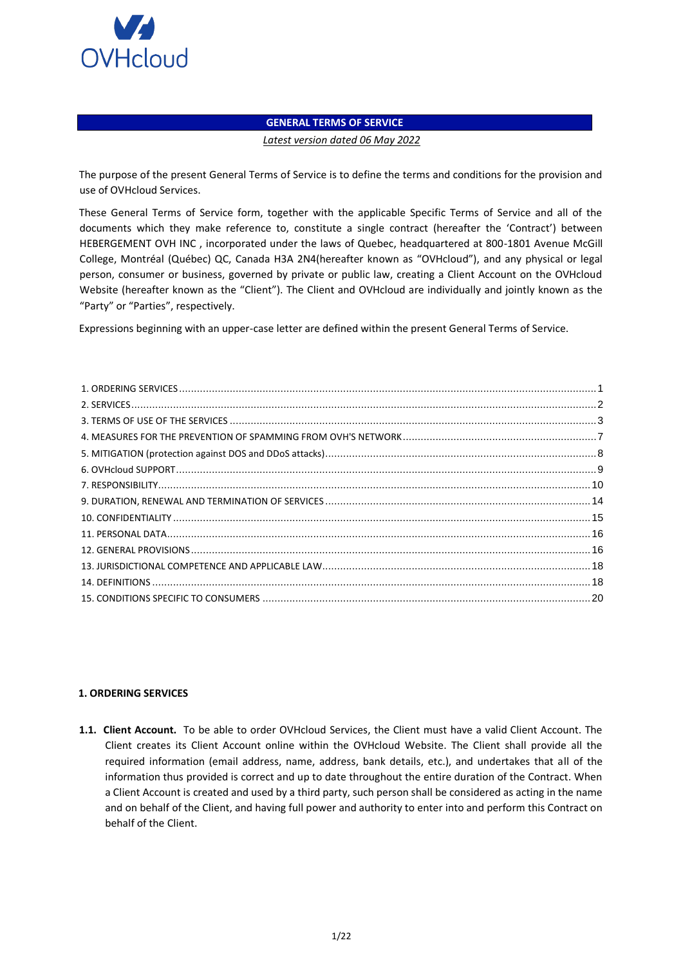

# **GENERAL TERMS OF SERVICE**

#### *Latest version dated 06 May 2022*

The purpose of the present General Terms of Service is to define the terms and conditions for the provision and use of OVHcloud Services.

These General Terms of Service form, together with the applicable Specific Terms of Service and all of the documents which they make reference to, constitute a single contract (hereafter the 'Contract') between HEBERGEMENT OVH INC , incorporated under the laws of Quebec, headquartered at 800-1801 Avenue McGill College, Montréal (Québec) QC, Canada H3A 2N4(hereafter known as "OVHcloud"), and any physical or legal person, consumer or business, governed by private or public law, creating a Client Account on the OVHcloud Website (hereafter known as the "Client"). The Client and OVHcloud are individually and jointly known as the "Party" or "Parties", respectively.

Expressions beginning with an upper-case letter are defined within the present General Terms of Service.

### <span id="page-0-0"></span>**1. ORDERING SERVICES**

**1.1. Client Account.** To be able to order OVHcloud Services, the Client must have a valid Client Account. The Client creates its Client Account online within the OVHcloud Website. The Client shall provide all the required information (email address, name, address, bank details, etc.), and undertakes that all of the information thus provided is correct and up to date throughout the entire duration of the Contract. When a Client Account is created and used by a third party, such person shall be considered as acting in the name and on behalf of the Client, and having full power and authority to enter into and perform this Contract on behalf of the Client.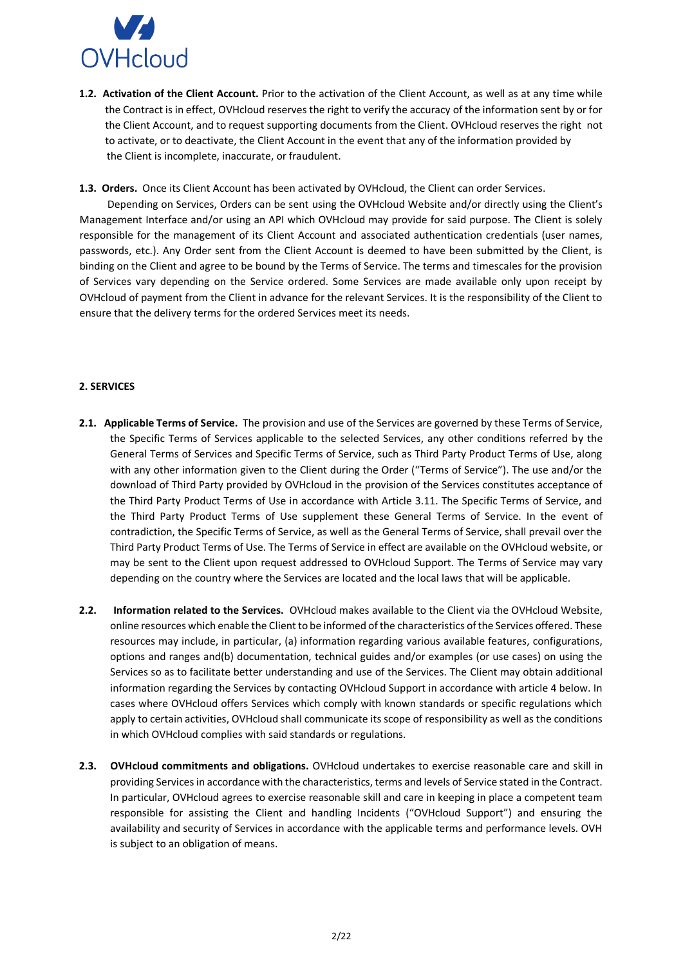

**1.2. Activation of the Client Account.** Prior to the activation of the Client Account, as well as at any time while the Contract is in effect, OVHcloud reserves the right to verify the accuracy of the information sent by or for the Client Account, and to request supporting documents from the Client. OVHcloud reserves the right not to activate, or to deactivate, the Client Account in the event that any of the information provided by the Client is incomplete, inaccurate, or fraudulent.

**1.3. Orders.** Once its Client Account has been activated by OVHcloud, the Client can order Services.

 Depending on Services, Orders can be sent using the OVHcloud Website and/or directly using the Client's Management Interface and/or using an API which OVHcloud may provide for said purpose. The Client is solely responsible for the management of its Client Account and associated authentication credentials (user names, passwords, etc.). Any Order sent from the Client Account is deemed to have been submitted by the Client, is binding on the Client and agree to be bound by the Terms of Service. The terms and timescales for the provision of Services vary depending on the Service ordered. Some Services are made available only upon receipt by OVHcloud of payment from the Client in advance for the relevant Services. It is the responsibility of the Client to ensure that the delivery terms for the ordered Services meet its needs.

#### <span id="page-1-0"></span>**2. SERVICES**

- **2.1. Applicable Terms of Service.** The provision and use of the Services are governed by these Terms of Service, the Specific Terms of Services applicable to the selected Services, any other conditions referred by the General Terms of Services and Specific Terms of Service, such as Third Party Product Terms of Use, along with any other information given to the Client during the Order ("Terms of Service"). The use and/or the download of Third Party provided by OVHcloud in the provision of the Services constitutes acceptance of the Third Party Product Terms of Use in accordance with Article 3.11. The Specific Terms of Service, and the Third Party Product Terms of Use supplement these General Terms of Service. In the event of contradiction, the Specific Terms of Service, as well as the General Terms of Service, shall prevail over the Third Party Product Terms of Use. The Terms of Service in effect are available on the OVHcloud website, or may be sent to the Client upon request addressed to OVHcloud Support. The Terms of Service may vary depending on the country where the Services are located and the local laws that will be applicable.
- **2.2. Information related to the Services.** OVHcloud makes available to the Client via the OVHcloud Website, online resources which enable the Client to be informed of the characteristics of the Services offered. These resources may include, in particular, (a) information regarding various available features, configurations, options and ranges and(b) documentation, technical guides and/or examples (or use cases) on using the Services so as to facilitate better understanding and use of the Services. The Client may obtain additional information regarding the Services by contacting OVHcloud Support in accordance with article 4 below. In cases where OVHcloud offers Services which comply with known standards or specific regulations which apply to certain activities, OVHcloud shall communicate its scope of responsibility as well as the conditions in which OVHcloud complies with said standards or regulations.
- **2.3. OVHcloud commitments and obligations.** OVHcloud undertakes to exercise reasonable care and skill in providing Services in accordance with the characteristics, terms and levels of Service stated in the Contract. In particular, OVHcloud agrees to exercise reasonable skill and care in keeping in place a competent team responsible for assisting the Client and handling Incidents ("OVHcloud Support") and ensuring the availability and security of Services in accordance with the applicable terms and performance levels. OVH is subject to an obligation of means.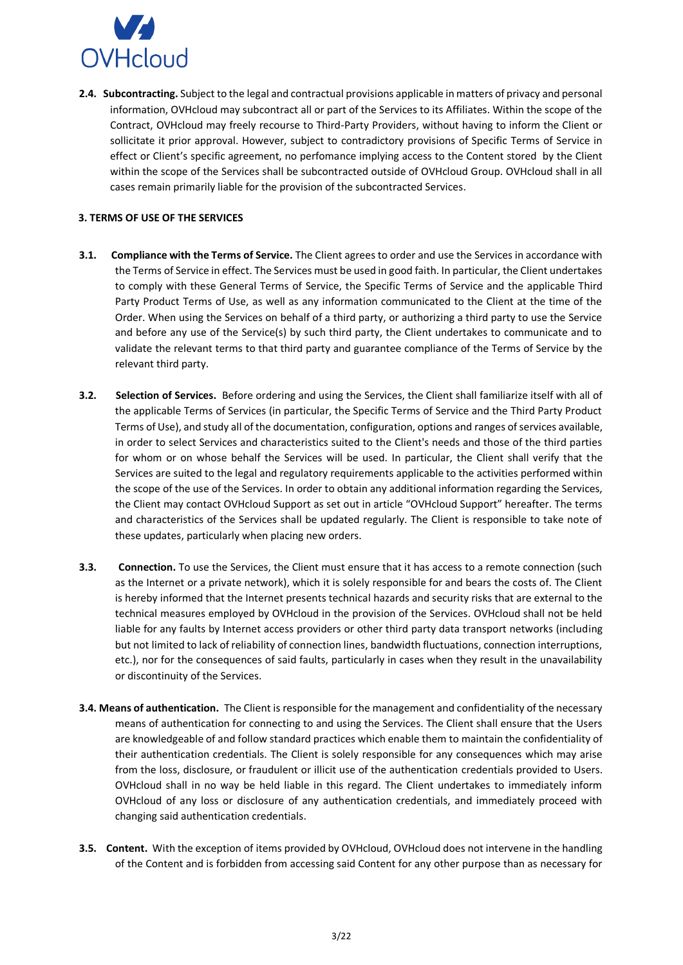

**2.4. Subcontracting.** Subject to the legal and contractual provisions applicable in matters of privacy and personal information, OVHcloud may subcontract all or part of the Services to its Affiliates. Within the scope of the Contract, OVHcloud may freely recourse to Third-Party Providers, without having to inform the Client or sollicitate it prior approval. However, subject to contradictory provisions of Specific Terms of Service in effect or Client's specific agreement, no perfomance implying access to the Content stored by the Client within the scope of the Services shall be subcontracted outside of OVHcloud Group. OVHcloud shall in all cases remain primarily liable for the provision of the subcontracted Services.

### <span id="page-2-0"></span>**3. TERMS OF USE OF THE SERVICES**

- **3.1. Compliance with the Terms of Service.** The Client agrees to order and use the Services in accordance with the Terms of Service in effect. The Services must be used in good faith. In particular, the Client undertakes to comply with these General Terms of Service, the Specific Terms of Service and the applicable Third Party Product Terms of Use, as well as any information communicated to the Client at the time of the Order. When using the Services on behalf of a third party, or authorizing a third party to use the Service and before any use of the Service(s) by such third party, the Client undertakes to communicate and to validate the relevant terms to that third party and guarantee compliance of the Terms of Service by the relevant third party.
- **3.2. Selection of Services.** Before ordering and using the Services, the Client shall familiarize itself with all of the applicable Terms of Services (in particular, the Specific Terms of Service and the Third Party Product Terms of Use), and study all of the documentation, configuration, options and ranges of services available, in order to select Services and characteristics suited to the Client's needs and those of the third parties for whom or on whose behalf the Services will be used. In particular, the Client shall verify that the Services are suited to the legal and regulatory requirements applicable to the activities performed within the scope of the use of the Services. In order to obtain any additional information regarding the Services, the Client may contact OVHcloud Support as set out in article "OVHcloud Support" hereafter. The terms and characteristics of the Services shall be updated regularly. The Client is responsible to take note of these updates, particularly when placing new orders.
- **3.3. Connection.** To use the Services, the Client must ensure that it has access to a remote connection (such as the Internet or a private network), which it is solely responsible for and bears the costs of. The Client is hereby informed that the Internet presents technical hazards and security risks that are external to the technical measures employed by OVHcloud in the provision of the Services. OVHcloud shall not be held liable for any faults by Internet access providers or other third party data transport networks (including but not limited to lack of reliability of connection lines, bandwidth fluctuations, connection interruptions, etc.), nor for the consequences of said faults, particularly in cases when they result in the unavailability or discontinuity of the Services.
- **3.4. Means of authentication.** The Client is responsible for the management and confidentiality of the necessary means of authentication for connecting to and using the Services. The Client shall ensure that the Users are knowledgeable of and follow standard practices which enable them to maintain the confidentiality of their authentication credentials. The Client is solely responsible for any consequences which may arise from the loss, disclosure, or fraudulent or illicit use of the authentication credentials provided to Users. OVHcloud shall in no way be held liable in this regard. The Client undertakes to immediately inform OVHcloud of any loss or disclosure of any authentication credentials, and immediately proceed with changing said authentication credentials.
- **3.5. Content.** With the exception of items provided by OVHcloud, OVHcloud does not intervene in the handling of the Content and is forbidden from accessing said Content for any other purpose than as necessary for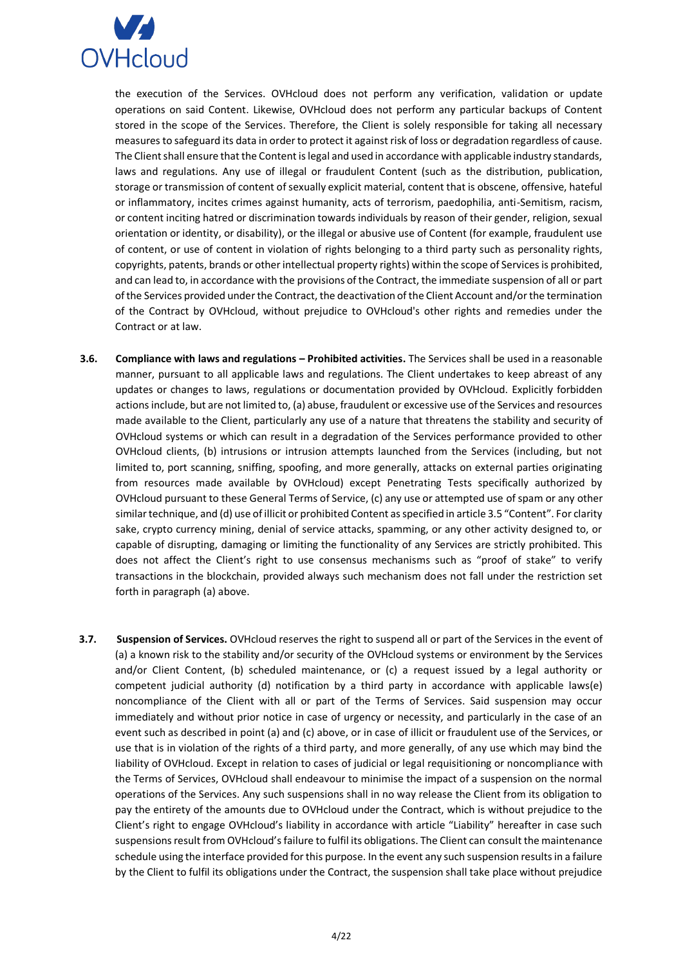

the execution of the Services. OVHcloud does not perform any verification, validation or update operations on said Content. Likewise, OVHcloud does not perform any particular backups of Content stored in the scope of the Services. Therefore, the Client is solely responsible for taking all necessary measures to safeguard its data in order to protect it against risk of loss or degradation regardless of cause. The Client shall ensure that the Content is legal and used in accordance with applicable industry standards, laws and regulations. Any use of illegal or fraudulent Content (such as the distribution, publication, storage or transmission of content of sexually explicit material, content that is obscene, offensive, hateful or inflammatory, incites crimes against humanity, acts of terrorism, paedophilia, anti-Semitism, racism, or content inciting hatred or discrimination towards individuals by reason of their gender, religion, sexual orientation or identity, or disability), or the illegal or abusive use of Content (for example, fraudulent use of content, or use of content in violation of rights belonging to a third party such as personality rights, copyrights, patents, brands or other intellectual property rights) within the scope of Services is prohibited, and can lead to, in accordance with the provisions of the Contract, the immediate suspension of all or part of the Services provided under the Contract, the deactivation of the Client Account and/or the termination of the Contract by OVHcloud, without prejudice to OVHcloud's other rights and remedies under the Contract or at law.

- **3.6. Compliance with laws and regulations – Prohibited activities.** The Services shall be used in a reasonable manner, pursuant to all applicable laws and regulations. The Client undertakes to keep abreast of any updates or changes to laws, regulations or documentation provided by OVHcloud. Explicitly forbidden actions include, but are not limited to, (a) abuse, fraudulent or excessive use of the Services and resources made available to the Client, particularly any use of a nature that threatens the stability and security of OVHcloud systems or which can result in a degradation of the Services performance provided to other OVHcloud clients, (b) intrusions or intrusion attempts launched from the Services (including, but not limited to, port scanning, sniffing, spoofing, and more generally, attacks on external parties originating from resources made available by OVHcloud) except Penetrating Tests specifically authorized by OVHcloud pursuant to these General Terms of Service, (c) any use or attempted use of spam or any other similar technique, and (d) use of illicit or prohibited Content as specified in article 3.5 "Content". For clarity sake, crypto currency mining, denial of service attacks, spamming, or any other activity designed to, or capable of disrupting, damaging or limiting the functionality of any Services are strictly prohibited. This does not affect the Client's right to use consensus mechanisms such as "proof of stake" to verify transactions in the blockchain, provided always such mechanism does not fall under the restriction set forth in paragraph (a) above.
- **3.7. Suspension of Services.** OVHcloud reserves the right to suspend all or part of the Services in the event of (a) a known risk to the stability and/or security of the OVHcloud systems or environment by the Services and/or Client Content, (b) scheduled maintenance, or (c) a request issued by a legal authority or competent judicial authority (d) notification by a third party in accordance with applicable laws(e) noncompliance of the Client with all or part of the Terms of Services. Said suspension may occur immediately and without prior notice in case of urgency or necessity, and particularly in the case of an event such as described in point (a) and (c) above, or in case of illicit or fraudulent use of the Services, or use that is in violation of the rights of a third party, and more generally, of any use which may bind the liability of OVHcloud. Except in relation to cases of judicial or legal requisitioning or noncompliance with the Terms of Services, OVHcloud shall endeavour to minimise the impact of a suspension on the normal operations of the Services. Any such suspensions shall in no way release the Client from its obligation to pay the entirety of the amounts due to OVHcloud under the Contract, which is without prejudice to the Client's right to engage OVHcloud's liability in accordance with article "Liability" hereafter in case such suspensions result from OVHcloud's failure to fulfil its obligations. The Client can consult the maintenance schedule using the interface provided for this purpose. In the event any such suspension results in a failure by the Client to fulfil its obligations under the Contract, the suspension shall take place without prejudice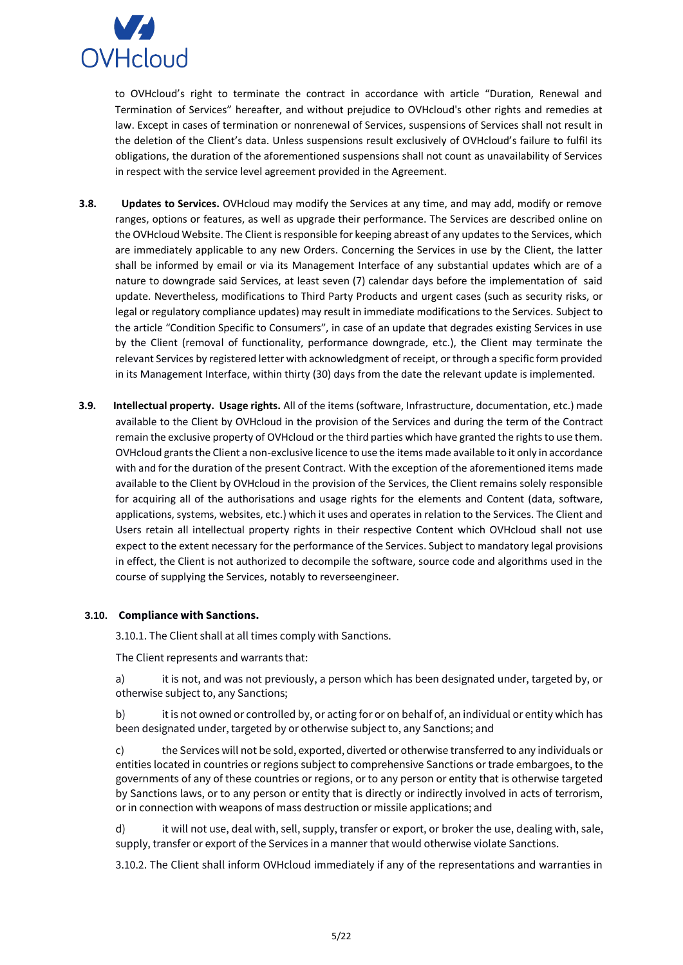

to OVHcloud's right to terminate the contract in accordance with article "Duration, Renewal and Termination of Services" hereafter, and without prejudice to OVHcloud's other rights and remedies at law. Except in cases of termination or nonrenewal of Services, suspensions of Services shall not result in the deletion of the Client's data. Unless suspensions result exclusively of OVHcloud's failure to fulfil its obligations, the duration of the aforementioned suspensions shall not count as unavailability of Services in respect with the service level agreement provided in the Agreement.

- **3.8. Updates to Services.** OVHcloud may modify the Services at any time, and may add, modify or remove ranges, options or features, as well as upgrade their performance. The Services are described online on the OVHcloud Website. The Client is responsible for keeping abreast of any updates to the Services, which are immediately applicable to any new Orders. Concerning the Services in use by the Client, the latter shall be informed by email or via its Management Interface of any substantial updates which are of a nature to downgrade said Services, at least seven (7) calendar days before the implementation of said update. Nevertheless, modifications to Third Party Products and urgent cases (such as security risks, or legal or regulatory compliance updates) may result in immediate modifications to the Services. Subject to the article "Condition Specific to Consumers", in case of an update that degrades existing Services in use by the Client (removal of functionality, performance downgrade, etc.), the Client may terminate the relevant Services by registered letter with acknowledgment of receipt, or through a specific form provided in its Management Interface, within thirty (30) days from the date the relevant update is implemented.
- **3.9. Intellectual property. Usage rights.** All of the items (software, Infrastructure, documentation, etc.) made available to the Client by OVHcloud in the provision of the Services and during the term of the Contract remain the exclusive property of OVHcloud or the third parties which have granted the rights to use them. OVHcloud grants the Client a non-exclusive licence to use the items made available to it only in accordance with and for the duration of the present Contract. With the exception of the aforementioned items made available to the Client by OVHcloud in the provision of the Services, the Client remains solely responsible for acquiring all of the authorisations and usage rights for the elements and Content (data, software, applications, systems, websites, etc.) which it uses and operates in relation to the Services. The Client and Users retain all intellectual property rights in their respective Content which OVHcloud shall not use expect to the extent necessary for the performance of the Services. Subject to mandatory legal provisions in effect, the Client is not authorized to decompile the software, source code and algorithms used in the course of supplying the Services, notably to reverseengineer.

# **3.10. Compliance with Sanctions.**

3.10.1. The Client shall at all times comply with Sanctions.

The Client represents and warrants that:

a) it is not, and was not previously, a person which has been designated under, targeted by, or otherwise subject to, any Sanctions;

b) it is not owned or controlled by, or acting for or on behalf of, an individual or entity which has been designated under, targeted by or otherwise subject to, any Sanctions; and

c) the Services will not be sold, exported, diverted or otherwise transferred to any individuals or entities located in countries or regions subject to comprehensive Sanctions or trade embargoes, to the governments of any of these countries or regions, or to any person or entity that is otherwise targeted by Sanctions laws, or to any person or entity that is directly or indirectly involved in acts of terrorism, or in connection with weapons of mass destruction or missile applications; and

d) it will not use, deal with, sell, supply, transfer or export, or broker the use, dealing with, sale, supply, transfer or export of the Services in a manner that would otherwise violate Sanctions.

3.10.2. The Client shall inform OVHcloud immediately if any of the representations and warranties in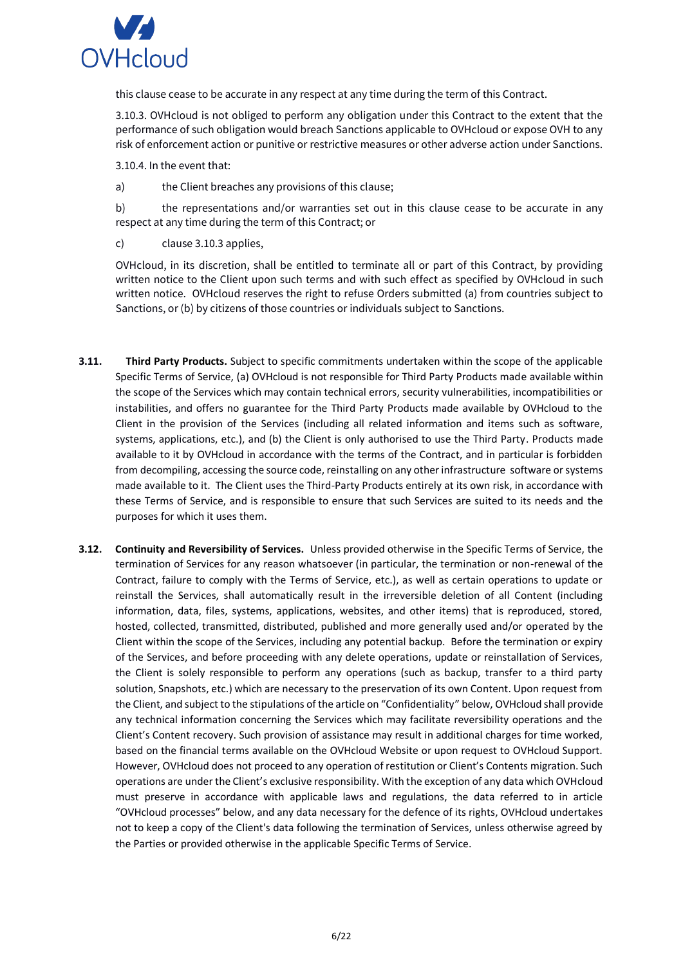

this clause cease to be accurate in any respect at any time during the term of this Contract.

3.10.3. OVHcloud is not obliged to perform any obligation under this Contract to the extent that the performance of such obligation would breach Sanctions applicable to OVHcloud or expose OVH to any risk of enforcement action or punitive or restrictive measures or other adverse action under Sanctions.

3.10.4. In the event that:

a) the Client breaches any provisions of this clause;

b) the representations and/or warranties set out in this clause cease to be accurate in any respect at any time during the term of this Contract; or

c) clause 3.10.3 applies,

OVHcloud, in its discretion, shall be entitled to terminate all or part of this Contract, by providing written notice to the Client upon such terms and with such effect as specified by OVHcloud in such written notice. OVHcloud reserves the right to refuse Orders submitted (a) from countries subject to Sanctions, or (b) by citizens of those countries or individuals subject to Sanctions.

- **3.11. Third Party Products.** Subject to specific commitments undertaken within the scope of the applicable Specific Terms of Service, (a) OVHcloud is not responsible for Third Party Products made available within the scope of the Services which may contain technical errors, security vulnerabilities, incompatibilities or instabilities, and offers no guarantee for the Third Party Products made available by OVHcloud to the Client in the provision of the Services (including all related information and items such as software, systems, applications, etc.), and (b) the Client is only authorised to use the Third Party. Products made available to it by OVHcloud in accordance with the terms of the Contract, and in particular is forbidden from decompiling, accessing the source code, reinstalling on any other infrastructure software or systems made available to it. The Client uses the Third-Party Products entirely at its own risk, in accordance with these Terms of Service, and is responsible to ensure that such Services are suited to its needs and the purposes for which it uses them.
- **3.12. Continuity and Reversibility of Services.** Unless provided otherwise in the Specific Terms of Service, the termination of Services for any reason whatsoever (in particular, the termination or non-renewal of the Contract, failure to comply with the Terms of Service, etc.), as well as certain operations to update or reinstall the Services, shall automatically result in the irreversible deletion of all Content (including information, data, files, systems, applications, websites, and other items) that is reproduced, stored, hosted, collected, transmitted, distributed, published and more generally used and/or operated by the Client within the scope of the Services, including any potential backup. Before the termination or expiry of the Services, and before proceeding with any delete operations, update or reinstallation of Services, the Client is solely responsible to perform any operations (such as backup, transfer to a third party solution, Snapshots, etc.) which are necessary to the preservation of its own Content. Upon request from the Client, and subject to the stipulations of the article on "Confidentiality" below, OVHcloud shall provide any technical information concerning the Services which may facilitate reversibility operations and the Client's Content recovery. Such provision of assistance may result in additional charges for time worked, based on the financial terms available on the OVHcloud Website or upon request to OVHcloud Support. However, OVHcloud does not proceed to any operation of restitution or Client's Contents migration. Such operations are under the Client's exclusive responsibility. With the exception of any data which OVHcloud must preserve in accordance with applicable laws and regulations, the data referred to in article "OVHcloud processes" below, and any data necessary for the defence of its rights, OVHcloud undertakes not to keep a copy of the Client's data following the termination of Services, unless otherwise agreed by the Parties or provided otherwise in the applicable Specific Terms of Service.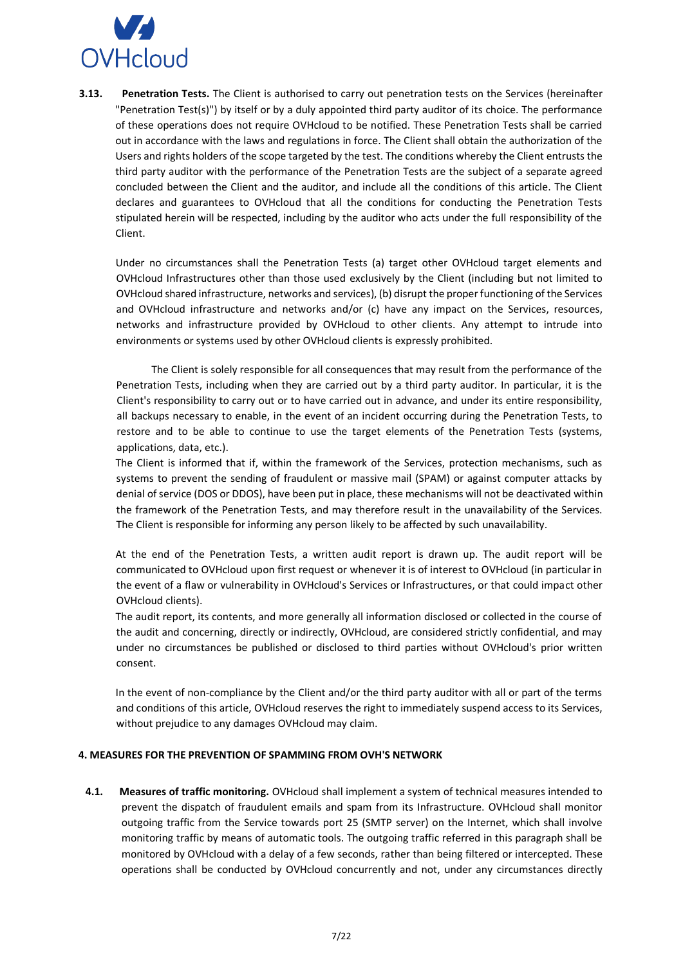

**3.13. Penetration Tests.** The Client is authorised to carry out penetration tests on the Services (hereinafter "Penetration Test(s)") by itself or by a duly appointed third party auditor of its choice. The performance of these operations does not require OVHcloud to be notified. These Penetration Tests shall be carried out in accordance with the laws and regulations in force. The Client shall obtain the authorization of the Users and rights holders of the scope targeted by the test. The conditions whereby the Client entrusts the third party auditor with the performance of the Penetration Tests are the subject of a separate agreed concluded between the Client and the auditor, and include all the conditions of this article. The Client declares and guarantees to OVHcloud that all the conditions for conducting the Penetration Tests stipulated herein will be respected, including by the auditor who acts under the full responsibility of the Client.

Under no circumstances shall the Penetration Tests (a) target other OVHcloud target elements and OVHcloud Infrastructures other than those used exclusively by the Client (including but not limited to OVHcloud shared infrastructure, networks and services), (b) disrupt the proper functioning of the Services and OVHcloud infrastructure and networks and/or (c) have any impact on the Services, resources, networks and infrastructure provided by OVHcloud to other clients. Any attempt to intrude into environments or systems used by other OVHcloud clients is expressly prohibited.

The Client is solely responsible for all consequences that may result from the performance of the Penetration Tests, including when they are carried out by a third party auditor. In particular, it is the Client's responsibility to carry out or to have carried out in advance, and under its entire responsibility, all backups necessary to enable, in the event of an incident occurring during the Penetration Tests, to restore and to be able to continue to use the target elements of the Penetration Tests (systems, applications, data, etc.).

The Client is informed that if, within the framework of the Services, protection mechanisms, such as systems to prevent the sending of fraudulent or massive mail (SPAM) or against computer attacks by denial of service (DOS or DDOS), have been put in place, these mechanisms will not be deactivated within the framework of the Penetration Tests, and may therefore result in the unavailability of the Services. The Client is responsible for informing any person likely to be affected by such unavailability.

At the end of the Penetration Tests, a written audit report is drawn up. The audit report will be communicated to OVHcloud upon first request or whenever it is of interest to OVHcloud (in particular in the event of a flaw or vulnerability in OVHcloud's Services or Infrastructures, or that could impact other OVHcloud clients).

The audit report, its contents, and more generally all information disclosed or collected in the course of the audit and concerning, directly or indirectly, OVHcloud, are considered strictly confidential, and may under no circumstances be published or disclosed to third parties without OVHcloud's prior written consent.

In the event of non-compliance by the Client and/or the third party auditor with all or part of the terms and conditions of this article, OVHcloud reserves the right to immediately suspend access to its Services, without prejudice to any damages OVHcloud may claim.

### <span id="page-6-0"></span>**4. MEASURES FOR THE PREVENTION OF SPAMMING FROM OVH'S NETWORK**

**4.1. Measures of traffic monitoring.** OVHcloud shall implement a system of technical measures intended to prevent the dispatch of fraudulent emails and spam from its Infrastructure. OVHcloud shall monitor outgoing traffic from the Service towards port 25 (SMTP server) on the Internet, which shall involve monitoring traffic by means of automatic tools. The outgoing traffic referred in this paragraph shall be monitored by OVHcloud with a delay of a few seconds, rather than being filtered or intercepted. These operations shall be conducted by OVHcloud concurrently and not, under any circumstances directly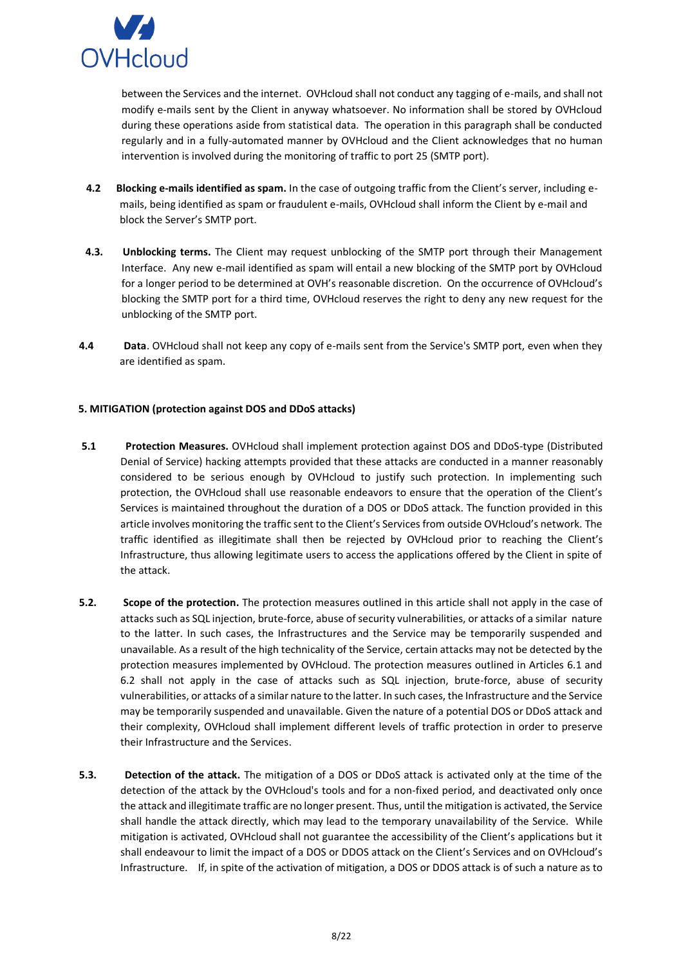

between the Services and the internet. OVHcloud shall not conduct any tagging of e-mails, and shall not modify e-mails sent by the Client in anyway whatsoever. No information shall be stored by OVHcloud during these operations aside from statistical data. The operation in this paragraph shall be conducted regularly and in a fully-automated manner by OVHcloud and the Client acknowledges that no human intervention is involved during the monitoring of traffic to port 25 (SMTP port).

- **4.2 Blocking e-mails identified as spam.** In the case of outgoing traffic from the Client's server, including emails, being identified as spam or fraudulent e-mails, OVHcloud shall inform the Client by e-mail and block the Server's SMTP port.
- **4.3. Unblocking terms.** The Client may request unblocking of the SMTP port through their Management Interface. Any new e-mail identified as spam will entail a new blocking of the SMTP port by OVHcloud for a longer period to be determined at OVH's reasonable discretion. On the occurrence of OVHcloud's blocking the SMTP port for a third time, OVHcloud reserves the right to deny any new request for the unblocking of the SMTP port.
- **4.4 Data**. OVHcloud shall not keep any copy of e-mails sent from the Service's SMTP port, even when they are identified as spam.

# <span id="page-7-0"></span>**5. MITIGATION (protection against DOS and DDoS attacks)**

- **5.1 Protection Measures.** OVHcloud shall implement protection against DOS and DDoS-type (Distributed Denial of Service) hacking attempts provided that these attacks are conducted in a manner reasonably considered to be serious enough by OVHcloud to justify such protection. In implementing such protection, the OVHcloud shall use reasonable endeavors to ensure that the operation of the Client's Services is maintained throughout the duration of a DOS or DDoS attack. The function provided in this article involves monitoring the traffic sent to the Client's Services from outside OVHcloud's network. The traffic identified as illegitimate shall then be rejected by OVHcloud prior to reaching the Client's Infrastructure, thus allowing legitimate users to access the applications offered by the Client in spite of the attack.
- **5.2. Scope of the protection.** The protection measures outlined in this article shall not apply in the case of attacks such as SQL injection, brute-force, abuse of security vulnerabilities, or attacks of a similar nature to the latter. In such cases, the Infrastructures and the Service may be temporarily suspended and unavailable. As a result of the high technicality of the Service, certain attacks may not be detected by the protection measures implemented by OVHcloud. The protection measures outlined in Articles 6.1 and 6.2 shall not apply in the case of attacks such as SQL injection, brute-force, abuse of security vulnerabilities, or attacks of a similar nature to the latter. In such cases, the Infrastructure and the Service may be temporarily suspended and unavailable. Given the nature of a potential DOS or DDoS attack and their complexity, OVHcloud shall implement different levels of traffic protection in order to preserve their Infrastructure and the Services.
- **5.3. Detection of the attack.** The mitigation of a DOS or DDoS attack is activated only at the time of the detection of the attack by the OVHcloud's tools and for a non-fixed period, and deactivated only once the attack and illegitimate traffic are no longer present. Thus, until the mitigation is activated, the Service shall handle the attack directly, which may lead to the temporary unavailability of the Service. While mitigation is activated, OVHcloud shall not guarantee the accessibility of the Client's applications but it shall endeavour to limit the impact of a DOS or DDOS attack on the Client's Services and on OVHcloud's Infrastructure. If, in spite of the activation of mitigation, a DOS or DDOS attack is of such a nature as to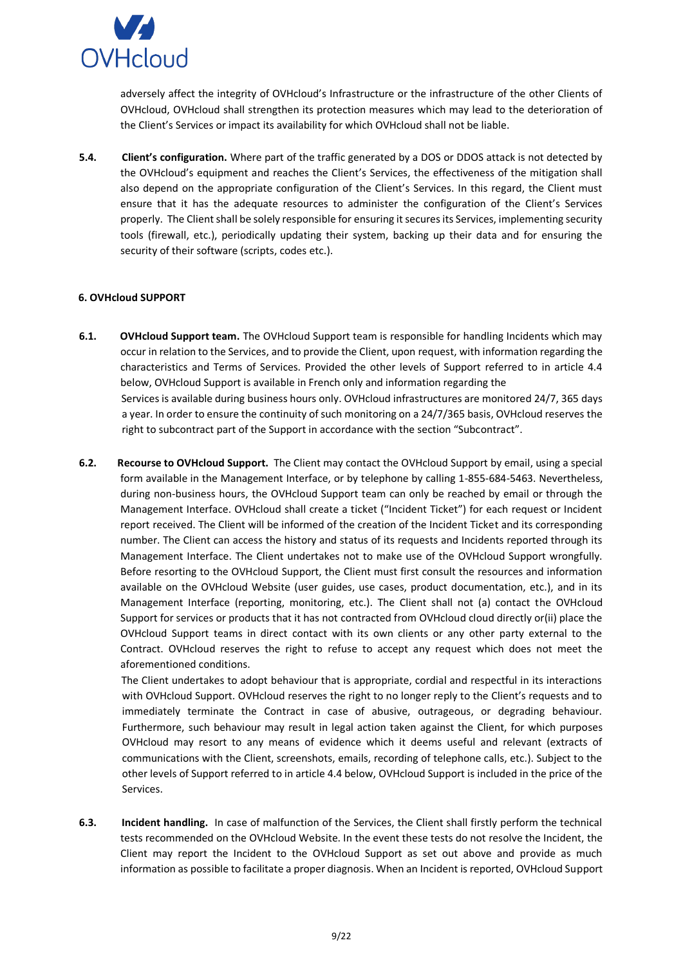

adversely affect the integrity of OVHcloud's Infrastructure or the infrastructure of the other Clients of OVHcloud, OVHcloud shall strengthen its protection measures which may lead to the deterioration of the Client's Services or impact its availability for which OVHcloud shall not be liable.

**5.4. Client's configuration.** Where part of the traffic generated by a DOS or DDOS attack is not detected by the OVHcloud's equipment and reaches the Client's Services, the effectiveness of the mitigation shall also depend on the appropriate configuration of the Client's Services. In this regard, the Client must ensure that it has the adequate resources to administer the configuration of the Client's Services properly. The Client shall be solely responsible for ensuring it secures its Services, implementing security tools (firewall, etc.), periodically updating their system, backing up their data and for ensuring the security of their software (scripts, codes etc.).

# <span id="page-8-0"></span>**6. OVHcloud SUPPORT**

- **6.1. OVHcloud Support team.** The OVHcloud Support team is responsible for handling Incidents which may occur in relation to the Services, and to provide the Client, upon request, with information regarding the characteristics and Terms of Services. Provided the other levels of Support referred to in article 4.4 below, OVHcloud Support is available in French only and information regarding the Services is available during business hours only. OVHcloud infrastructures are monitored 24/7, 365 days a year. In order to ensure the continuity of such monitoring on a 24/7/365 basis, OVHcloud reserves the right to subcontract part of the Support in accordance with the section "Subcontract".
- **6.2. Recourse to OVHcloud Support.** The Client may contact the OVHcloud Support by email, using a special form available in the Management Interface, or by telephone by calling 1-855-684-5463. Nevertheless, during non-business hours, the OVHcloud Support team can only be reached by email or through the Management Interface. OVHcloud shall create a ticket ("Incident Ticket") for each request or Incident report received. The Client will be informed of the creation of the Incident Ticket and its corresponding number. The Client can access the history and status of its requests and Incidents reported through its Management Interface. The Client undertakes not to make use of the OVHcloud Support wrongfully. Before resorting to the OVHcloud Support, the Client must first consult the resources and information available on the OVHcloud Website (user guides, use cases, product documentation, etc.), and in its Management Interface (reporting, monitoring, etc.). The Client shall not (a) contact the OVHcloud Support for services or products that it has not contracted from OVHcloud cloud directly or(ii) place the OVHcloud Support teams in direct contact with its own clients or any other party external to the Contract. OVHcloud reserves the right to refuse to accept any request which does not meet the aforementioned conditions.

The Client undertakes to adopt behaviour that is appropriate, cordial and respectful in its interactions with OVHcloud Support. OVHcloud reserves the right to no longer reply to the Client's requests and to immediately terminate the Contract in case of abusive, outrageous, or degrading behaviour. Furthermore, such behaviour may result in legal action taken against the Client, for which purposes OVHcloud may resort to any means of evidence which it deems useful and relevant (extracts of communications with the Client, screenshots, emails, recording of telephone calls, etc.). Subject to the other levels of Support referred to in article 4.4 below, OVHcloud Support is included in the price of the Services.

**6.3. Incident handling.** In case of malfunction of the Services, the Client shall firstly perform the technical tests recommended on the OVHcloud Website. In the event these tests do not resolve the Incident, the Client may report the Incident to the OVHcloud Support as set out above and provide as much information as possible to facilitate a proper diagnosis. When an Incident is reported, OVHcloud Support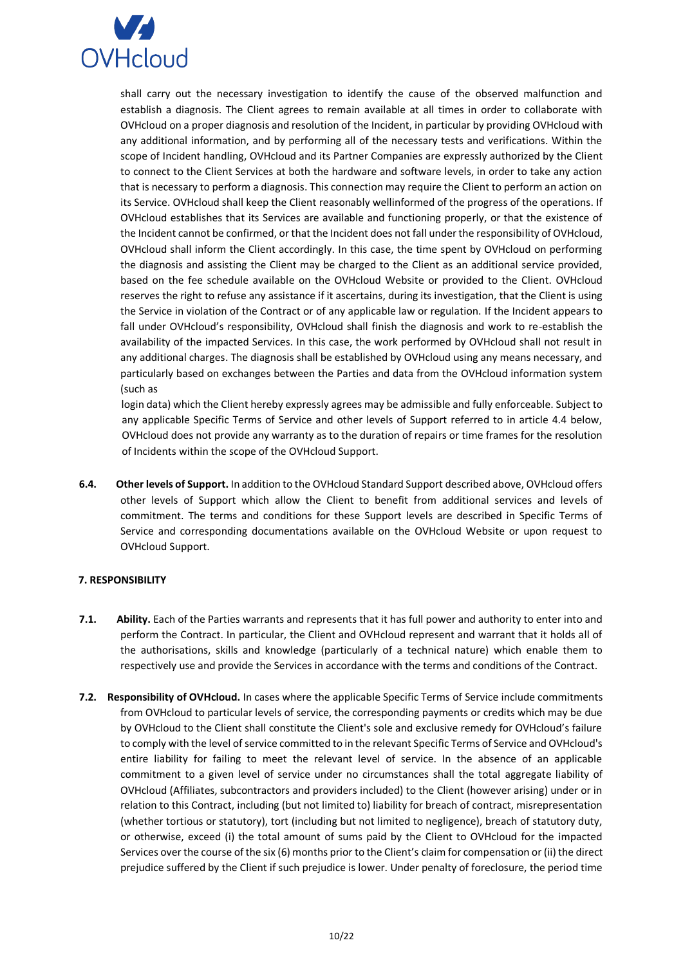

shall carry out the necessary investigation to identify the cause of the observed malfunction and establish a diagnosis. The Client agrees to remain available at all times in order to collaborate with OVHcloud on a proper diagnosis and resolution of the Incident, in particular by providing OVHcloud with any additional information, and by performing all of the necessary tests and verifications. Within the scope of Incident handling, OVHcloud and its Partner Companies are expressly authorized by the Client to connect to the Client Services at both the hardware and software levels, in order to take any action that is necessary to perform a diagnosis. This connection may require the Client to perform an action on its Service. OVHcloud shall keep the Client reasonably wellinformed of the progress of the operations. If OVHcloud establishes that its Services are available and functioning properly, or that the existence of the Incident cannot be confirmed, or that the Incident does not fall under the responsibility of OVHcloud, OVHcloud shall inform the Client accordingly. In this case, the time spent by OVHcloud on performing the diagnosis and assisting the Client may be charged to the Client as an additional service provided, based on the fee schedule available on the OVHcloud Website or provided to the Client. OVHcloud reserves the right to refuse any assistance if it ascertains, during its investigation, that the Client is using the Service in violation of the Contract or of any applicable law or regulation. If the Incident appears to fall under OVHcloud's responsibility, OVHcloud shall finish the diagnosis and work to re-establish the availability of the impacted Services. In this case, the work performed by OVHcloud shall not result in any additional charges. The diagnosis shall be established by OVHcloud using any means necessary, and particularly based on exchanges between the Parties and data from the OVHcloud information system (such as

login data) which the Client hereby expressly agrees may be admissible and fully enforceable. Subject to any applicable Specific Terms of Service and other levels of Support referred to in article 4.4 below, OVHcloud does not provide any warranty as to the duration of repairs or time frames for the resolution of Incidents within the scope of the OVHcloud Support.

**6.4. Other levels of Support.** In addition to the OVHcloud Standard Support described above, OVHcloud offers other levels of Support which allow the Client to benefit from additional services and levels of commitment. The terms and conditions for these Support levels are described in Specific Terms of Service and corresponding documentations available on the OVHcloud Website or upon request to OVHcloud Support.

### <span id="page-9-0"></span>**7. RESPONSIBILITY**

- **7.1. Ability.** Each of the Parties warrants and represents that it has full power and authority to enter into and perform the Contract. In particular, the Client and OVHcloud represent and warrant that it holds all of the authorisations, skills and knowledge (particularly of a technical nature) which enable them to respectively use and provide the Services in accordance with the terms and conditions of the Contract.
- **7.2. Responsibility of OVHcloud.** In cases where the applicable Specific Terms of Service include commitments from OVHcloud to particular levels of service, the corresponding payments or credits which may be due by OVHcloud to the Client shall constitute the Client's sole and exclusive remedy for OVHcloud's failure to comply with the level of service committed to in the relevant Specific Terms of Service and OVHcloud's entire liability for failing to meet the relevant level of service. In the absence of an applicable commitment to a given level of service under no circumstances shall the total aggregate liability of OVHcloud (Affiliates, subcontractors and providers included) to the Client (however arising) under or in relation to this Contract, including (but not limited to) liability for breach of contract, misrepresentation (whether tortious or statutory), tort (including but not limited to negligence), breach of statutory duty, or otherwise, exceed (i) the total amount of sums paid by the Client to OVHcloud for the impacted Services over the course of the six (6) months prior to the Client's claim for compensation or (ii) the direct prejudice suffered by the Client if such prejudice is lower. Under penalty of foreclosure, the period time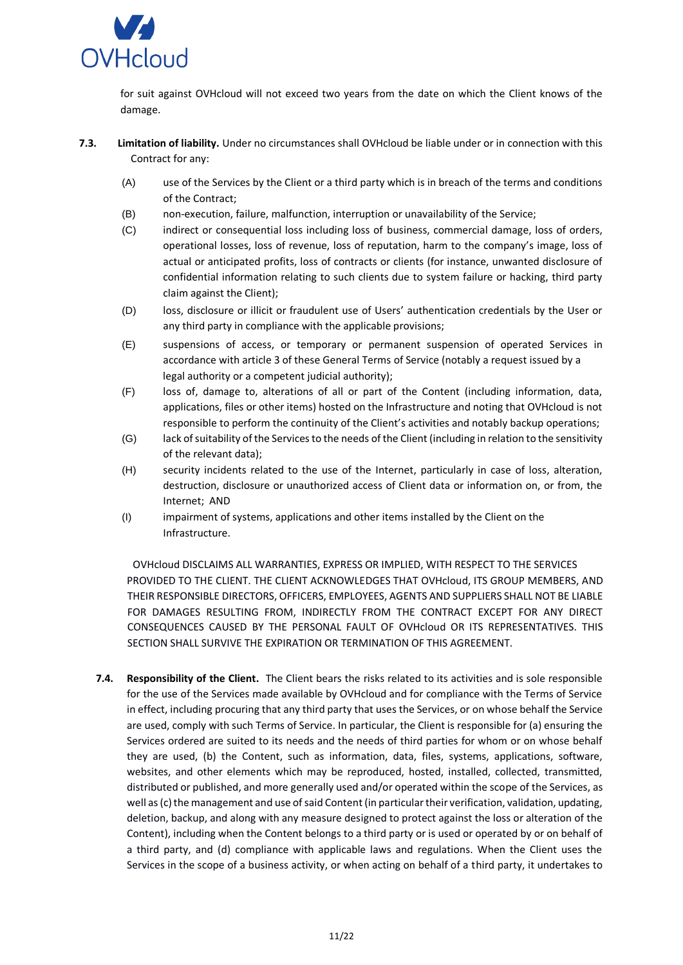

for suit against OVHcloud will not exceed two years from the date on which the Client knows of the damage.

- **7.3. Limitation of liability.** Under no circumstances shall OVHcloud be liable under or in connection with this Contract for any:
	- (A) use of the Services by the Client or a third party which is in breach of the terms and conditions of the Contract;
	- (B) non-execution, failure, malfunction, interruption or unavailability of the Service;
	- (C) indirect or consequential loss including loss of business, commercial damage, loss of orders, operational losses, loss of revenue, loss of reputation, harm to the company's image, loss of actual or anticipated profits, loss of contracts or clients (for instance, unwanted disclosure of confidential information relating to such clients due to system failure or hacking, third party claim against the Client);
	- (D) loss, disclosure or illicit or fraudulent use of Users' authentication credentials by the User or any third party in compliance with the applicable provisions;
	- (E) suspensions of access, or temporary or permanent suspension of operated Services in accordance with article 3 of these General Terms of Service (notably a request issued by a legal authority or a competent judicial authority);
	- (F) loss of, damage to, alterations of all or part of the Content (including information, data, applications, files or other items) hosted on the Infrastructure and noting that OVHcloud is not responsible to perform the continuity of the Client's activities and notably backup operations;
	- (G) lack of suitability of the Services to the needs of the Client (including in relation to the sensitivity of the relevant data);
	- (H) security incidents related to the use of the Internet, particularly in case of loss, alteration, destruction, disclosure or unauthorized access of Client data or information on, or from, the Internet; AND
	- (I) impairment of systems, applications and other items installed by the Client on the Infrastructure.

OVHcloud DISCLAIMS ALL WARRANTIES, EXPRESS OR IMPLIED, WITH RESPECT TO THE SERVICES PROVIDED TO THE CLIENT. THE CLIENT ACKNOWLEDGES THAT OVHcloud, ITS GROUP MEMBERS, AND THEIR RESPONSIBLE DIRECTORS, OFFICERS, EMPLOYEES, AGENTS AND SUPPLIERS SHALL NOT BE LIABLE FOR DAMAGES RESULTING FROM, INDIRECTLY FROM THE CONTRACT EXCEPT FOR ANY DIRECT CONSEQUENCES CAUSED BY THE PERSONAL FAULT OF OVHcloud OR ITS REPRESENTATIVES. THIS SECTION SHALL SURVIVE THE EXPIRATION OR TERMINATION OF THIS AGREEMENT.

**7.4. Responsibility of the Client.** The Client bears the risks related to its activities and is sole responsible for the use of the Services made available by OVHcloud and for compliance with the Terms of Service in effect, including procuring that any third party that uses the Services, or on whose behalf the Service are used, comply with such Terms of Service. In particular, the Client is responsible for (a) ensuring the Services ordered are suited to its needs and the needs of third parties for whom or on whose behalf they are used, (b) the Content, such as information, data, files, systems, applications, software, websites, and other elements which may be reproduced, hosted, installed, collected, transmitted, distributed or published, and more generally used and/or operated within the scope of the Services, as well as (c) the management and use of said Content (in particular their verification, validation, updating, deletion, backup, and along with any measure designed to protect against the loss or alteration of the Content), including when the Content belongs to a third party or is used or operated by or on behalf of a third party, and (d) compliance with applicable laws and regulations. When the Client uses the Services in the scope of a business activity, or when acting on behalf of a third party, it undertakes to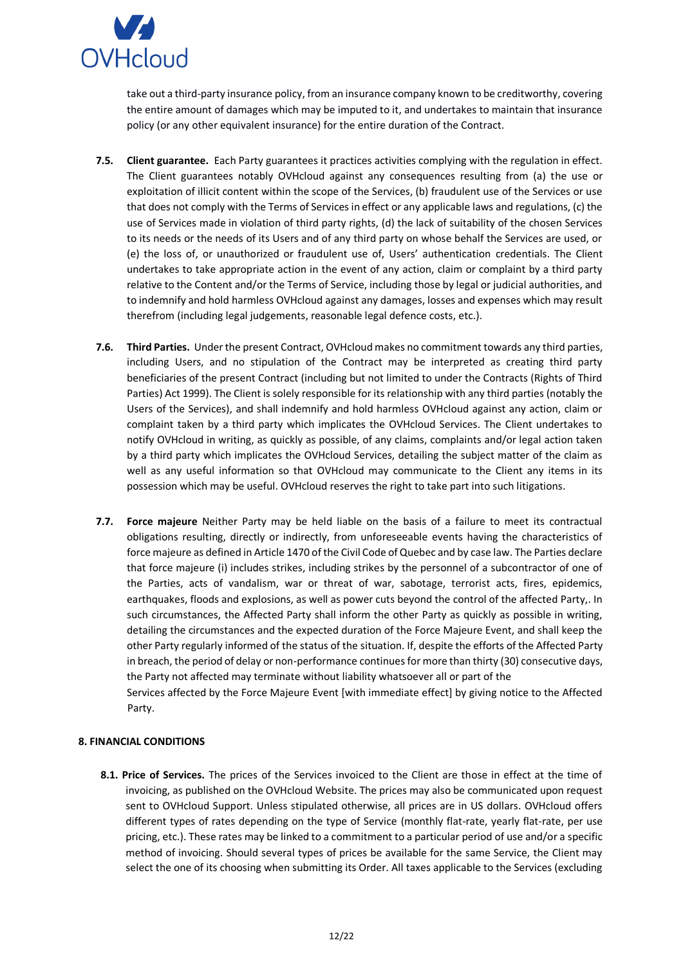

take out a third-party insurance policy, from an insurance company known to be creditworthy, covering the entire amount of damages which may be imputed to it, and undertakes to maintain that insurance policy (or any other equivalent insurance) for the entire duration of the Contract.

- **7.5. Client guarantee.** Each Party guarantees it practices activities complying with the regulation in effect. The Client guarantees notably OVHcloud against any consequences resulting from (a) the use or exploitation of illicit content within the scope of the Services, (b) fraudulent use of the Services or use that does not comply with the Terms of Services in effect or any applicable laws and regulations, (c) the use of Services made in violation of third party rights, (d) the lack of suitability of the chosen Services to its needs or the needs of its Users and of any third party on whose behalf the Services are used, or (e) the loss of, or unauthorized or fraudulent use of, Users' authentication credentials. The Client undertakes to take appropriate action in the event of any action, claim or complaint by a third party relative to the Content and/or the Terms of Service, including those by legal or judicial authorities, and to indemnify and hold harmless OVHcloud against any damages, losses and expenses which may result therefrom (including legal judgements, reasonable legal defence costs, etc.).
- **7.6. Third Parties.** Under the present Contract, OVHcloud makes no commitment towards any third parties, including Users, and no stipulation of the Contract may be interpreted as creating third party beneficiaries of the present Contract (including but not limited to under the Contracts (Rights of Third Parties) Act 1999). The Client is solely responsible for its relationship with any third parties (notably the Users of the Services), and shall indemnify and hold harmless OVHcloud against any action, claim or complaint taken by a third party which implicates the OVHcloud Services. The Client undertakes to notify OVHcloud in writing, as quickly as possible, of any claims, complaints and/or legal action taken by a third party which implicates the OVHcloud Services, detailing the subject matter of the claim as well as any useful information so that OVHcloud may communicate to the Client any items in its possession which may be useful. OVHcloud reserves the right to take part into such litigations.
- **7.7. Force majeure** Neither Party may be held liable on the basis of a failure to meet its contractual obligations resulting, directly or indirectly, from unforeseeable events having the characteristics of force majeure as defined in Article 1470 of the Civil Code of Quebec and by case law. The Parties declare that force majeure (i) includes strikes, including strikes by the personnel of a subcontractor of one of the Parties, acts of vandalism, war or threat of war, sabotage, terrorist acts, fires, epidemics, earthquakes, floods and explosions, as well as power cuts beyond the control of the affected Party,. In such circumstances, the Affected Party shall inform the other Party as quickly as possible in writing, detailing the circumstances and the expected duration of the Force Majeure Event, and shall keep the other Party regularly informed of the status of the situation. If, despite the efforts of the Affected Party in breach, the period of delay or non-performance continues for more than thirty (30) consecutive days, the Party not affected may terminate without liability whatsoever all or part of the

Services affected by the Force Majeure Event [with immediate effect] by giving notice to the Affected Party.

### **8. FINANCIAL CONDITIONS**

**8.1. Price of Services.** The prices of the Services invoiced to the Client are those in effect at the time of invoicing, as published on the OVHcloud Website. The prices may also be communicated upon request sent to OVHcloud Support. Unless stipulated otherwise, all prices are in US dollars. OVHcloud offers different types of rates depending on the type of Service (monthly flat-rate, yearly flat-rate, per use pricing, etc.). These rates may be linked to a commitment to a particular period of use and/or a specific method of invoicing. Should several types of prices be available for the same Service, the Client may select the one of its choosing when submitting its Order. All taxes applicable to the Services (excluding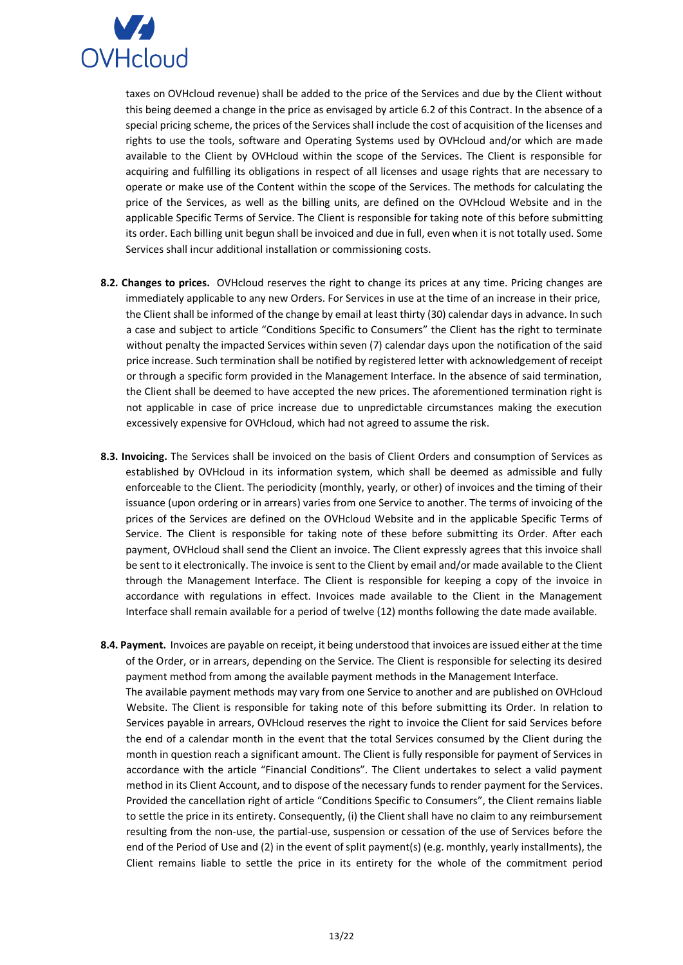

taxes on OVHcloud revenue) shall be added to the price of the Services and due by the Client without this being deemed a change in the price as envisaged by article 6.2 of this Contract. In the absence of a special pricing scheme, the prices of the Services shall include the cost of acquisition of the licenses and rights to use the tools, software and Operating Systems used by OVHcloud and/or which are made available to the Client by OVHcloud within the scope of the Services. The Client is responsible for acquiring and fulfilling its obligations in respect of all licenses and usage rights that are necessary to operate or make use of the Content within the scope of the Services. The methods for calculating the price of the Services, as well as the billing units, are defined on the OVHcloud Website and in the applicable Specific Terms of Service. The Client is responsible for taking note of this before submitting its order. Each billing unit begun shall be invoiced and due in full, even when it is not totally used. Some Services shall incur additional installation or commissioning costs.

- **8.2. Changes to prices.** OVHcloud reserves the right to change its prices at any time. Pricing changes are immediately applicable to any new Orders. For Services in use at the time of an increase in their price, the Client shall be informed of the change by email at least thirty (30) calendar days in advance. In such a case and subject to article "Conditions Specific to Consumers" the Client has the right to terminate without penalty the impacted Services within seven (7) calendar days upon the notification of the said price increase. Such termination shall be notified by registered letter with acknowledgement of receipt or through a specific form provided in the Management Interface. In the absence of said termination, the Client shall be deemed to have accepted the new prices. The aforementioned termination right is not applicable in case of price increase due to unpredictable circumstances making the execution excessively expensive for OVHcloud, which had not agreed to assume the risk.
- **8.3. Invoicing.** The Services shall be invoiced on the basis of Client Orders and consumption of Services as established by OVHcloud in its information system, which shall be deemed as admissible and fully enforceable to the Client. The periodicity (monthly, yearly, or other) of invoices and the timing of their issuance (upon ordering or in arrears) varies from one Service to another. The terms of invoicing of the prices of the Services are defined on the OVHcloud Website and in the applicable Specific Terms of Service. The Client is responsible for taking note of these before submitting its Order. After each payment, OVHcloud shall send the Client an invoice. The Client expressly agrees that this invoice shall be sent to it electronically. The invoice is sent to the Client by email and/or made available to the Client through the Management Interface. The Client is responsible for keeping a copy of the invoice in accordance with regulations in effect. Invoices made available to the Client in the Management Interface shall remain available for a period of twelve (12) months following the date made available.
- **8.4. Payment.** Invoices are payable on receipt, it being understood that invoices are issued either at the time of the Order, or in arrears, depending on the Service. The Client is responsible for selecting its desired payment method from among the available payment methods in the Management Interface. The available payment methods may vary from one Service to another and are published on OVHcloud Website. The Client is responsible for taking note of this before submitting its Order. In relation to Services payable in arrears, OVHcloud reserves the right to invoice the Client for said Services before the end of a calendar month in the event that the total Services consumed by the Client during the month in question reach a significant amount. The Client is fully responsible for payment of Services in accordance with the article "Financial Conditions". The Client undertakes to select a valid payment method in its Client Account, and to dispose of the necessary funds to render payment for the Services. Provided the cancellation right of article "Conditions Specific to Consumers", the Client remains liable to settle the price in its entirety. Consequently, (i) the Client shall have no claim to any reimbursement resulting from the non-use, the partial-use, suspension or cessation of the use of Services before the end of the Period of Use and (2) in the event of split payment(s) (e.g. monthly, yearly installments), the Client remains liable to settle the price in its entirety for the whole of the commitment period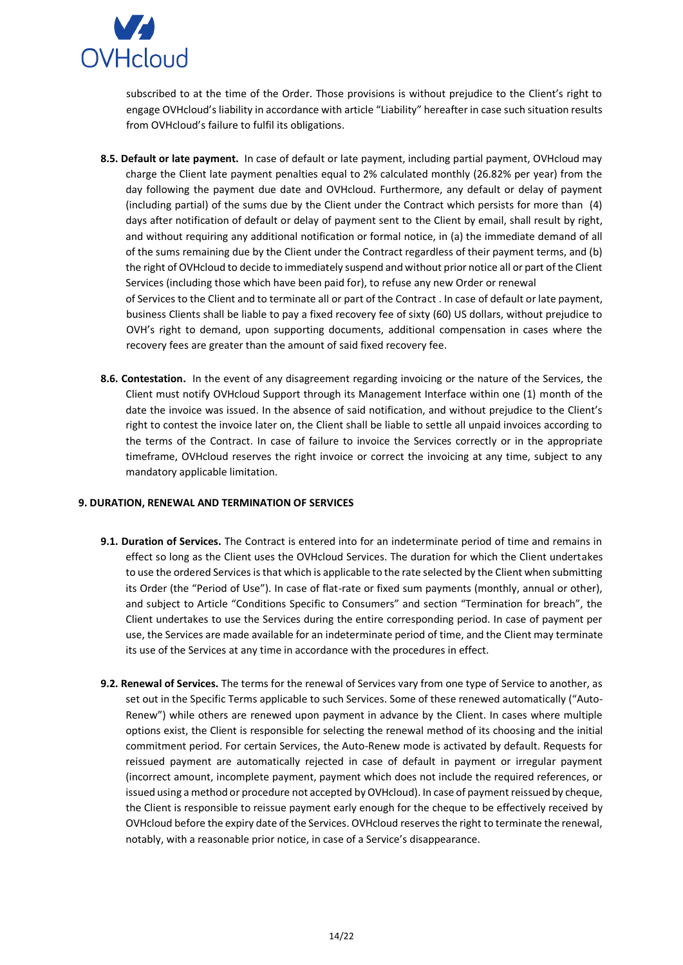

subscribed to at the time of the Order. Those provisions is without prejudice to the Client's right to engage OVHcloud's liability in accordance with article "Liability" hereafter in case such situation results from OVHcloud's failure to fulfil its obligations.

- **8.5. Default or late payment.** In case of default or late payment, including partial payment, OVHcloud may charge the Client late payment penalties equal to 2% calculated monthly (26.82% per year) from the day following the payment due date and OVHcloud. Furthermore, any default or delay of payment (including partial) of the sums due by the Client under the Contract which persists for more than (4) days after notification of default or delay of payment sent to the Client by email, shall result by right, and without requiring any additional notification or formal notice, in (a) the immediate demand of all of the sums remaining due by the Client under the Contract regardless of their payment terms, and (b) the right of OVHcloud to decide to immediately suspend and without prior notice all or part of the Client Services (including those which have been paid for), to refuse any new Order or renewal of Services to the Client and to terminate all or part of the Contract . In case of default or late payment, business Clients shall be liable to pay a fixed recovery fee of sixty (60) US dollars, without prejudice to OVH's right to demand, upon supporting documents, additional compensation in cases where the recovery fees are greater than the amount of said fixed recovery fee.
- **8.6. Contestation.** In the event of any disagreement regarding invoicing or the nature of the Services, the Client must notify OVHcloud Support through its Management Interface within one (1) month of the date the invoice was issued. In the absence of said notification, and without prejudice to the Client's right to contest the invoice later on, the Client shall be liable to settle all unpaid invoices according to the terms of the Contract. In case of failure to invoice the Services correctly or in the appropriate timeframe, OVHcloud reserves the right invoice or correct the invoicing at any time, subject to any mandatory applicable limitation.

### <span id="page-13-0"></span>**9. DURATION, RENEWAL AND TERMINATION OF SERVICES**

- **9.1. Duration of Services.** The Contract is entered into for an indeterminate period of time and remains in effect so long as the Client uses the OVHcloud Services. The duration for which the Client undertakes to use the ordered Services is that which is applicable to the rate selected by the Client when submitting its Order (the "Period of Use"). In case of flat-rate or fixed sum payments (monthly, annual or other), and subject to Article "Conditions Specific to Consumers" and section "Termination for breach", the Client undertakes to use the Services during the entire corresponding period. In case of payment per use, the Services are made available for an indeterminate period of time, and the Client may terminate its use of the Services at any time in accordance with the procedures in effect.
- **9.2. Renewal of Services.** The terms for the renewal of Services vary from one type of Service to another, as set out in the Specific Terms applicable to such Services. Some of these renewed automatically ("Auto-Renew") while others are renewed upon payment in advance by the Client. In cases where multiple options exist, the Client is responsible for selecting the renewal method of its choosing and the initial commitment period. For certain Services, the Auto-Renew mode is activated by default. Requests for reissued payment are automatically rejected in case of default in payment or irregular payment (incorrect amount, incomplete payment, payment which does not include the required references, or issued using a method or procedure not accepted by OVHcloud). In case of payment reissued by cheque, the Client is responsible to reissue payment early enough for the cheque to be effectively received by OVHcloud before the expiry date of the Services. OVHcloud reserves the right to terminate the renewal, notably, with a reasonable prior notice, in case of a Service's disappearance.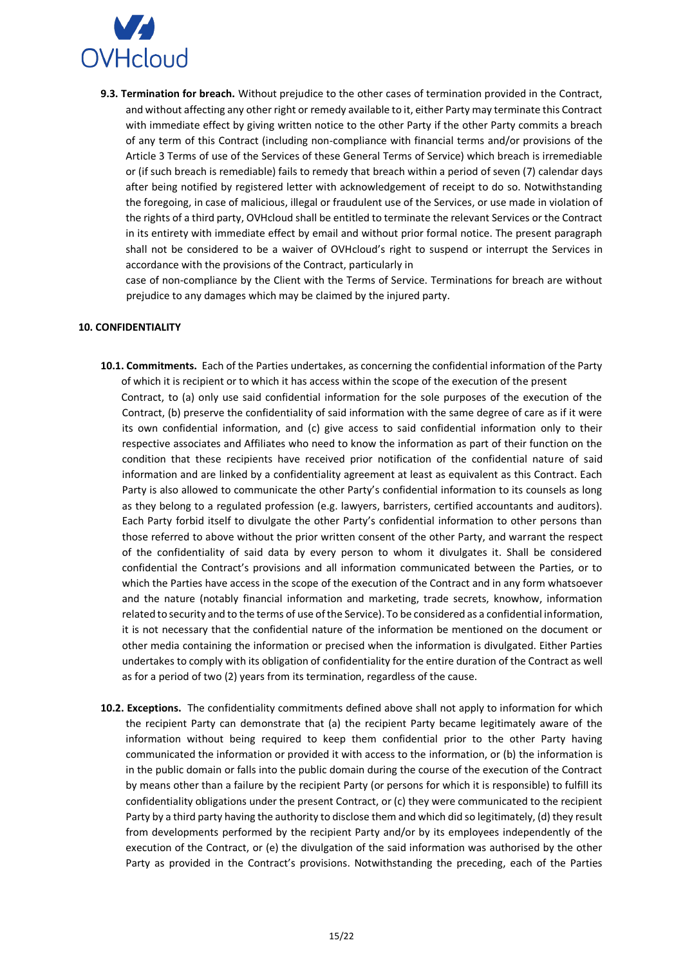

**9.3. Termination for breach.** Without prejudice to the other cases of termination provided in the Contract, and without affecting any other right or remedy available to it, either Party may terminate this Contract with immediate effect by giving written notice to the other Party if the other Party commits a breach of any term of this Contract (including non-compliance with financial terms and/or provisions of the Article 3 Terms of use of the Services of these General Terms of Service) which breach is irremediable or (if such breach is remediable) fails to remedy that breach within a period of seven (7) calendar days after being notified by registered letter with acknowledgement of receipt to do so. Notwithstanding the foregoing, in case of malicious, illegal or fraudulent use of the Services, or use made in violation of the rights of a third party, OVHcloud shall be entitled to terminate the relevant Services or the Contract in its entirety with immediate effect by email and without prior formal notice. The present paragraph shall not be considered to be a waiver of OVHcloud's right to suspend or interrupt the Services in accordance with the provisions of the Contract, particularly in

case of non-compliance by the Client with the Terms of Service. Terminations for breach are without prejudice to any damages which may be claimed by the injured party.

#### <span id="page-14-0"></span>**10. CONFIDENTIALITY**

- **10.1. Commitments.** Each of the Parties undertakes, as concerning the confidential information of the Party of which it is recipient or to which it has access within the scope of the execution of the present Contract, to (a) only use said confidential information for the sole purposes of the execution of the Contract, (b) preserve the confidentiality of said information with the same degree of care as if it were its own confidential information, and (c) give access to said confidential information only to their respective associates and Affiliates who need to know the information as part of their function on the condition that these recipients have received prior notification of the confidential nature of said information and are linked by a confidentiality agreement at least as equivalent as this Contract. Each Party is also allowed to communicate the other Party's confidential information to its counsels as long as they belong to a regulated profession (e.g. lawyers, barristers, certified accountants and auditors). Each Party forbid itself to divulgate the other Party's confidential information to other persons than those referred to above without the prior written consent of the other Party, and warrant the respect of the confidentiality of said data by every person to whom it divulgates it. Shall be considered confidential the Contract's provisions and all information communicated between the Parties, or to which the Parties have access in the scope of the execution of the Contract and in any form whatsoever and the nature (notably financial information and marketing, trade secrets, knowhow, information related to security and to the terms of use of the Service). To be considered as a confidential information, it is not necessary that the confidential nature of the information be mentioned on the document or other media containing the information or precised when the information is divulgated. Either Parties undertakes to comply with its obligation of confidentiality for the entire duration of the Contract as well as for a period of two (2) years from its termination, regardless of the cause.
- **10.2. Exceptions.** The confidentiality commitments defined above shall not apply to information for which the recipient Party can demonstrate that (a) the recipient Party became legitimately aware of the information without being required to keep them confidential prior to the other Party having communicated the information or provided it with access to the information, or (b) the information is in the public domain or falls into the public domain during the course of the execution of the Contract by means other than a failure by the recipient Party (or persons for which it is responsible) to fulfill its confidentiality obligations under the present Contract, or (c) they were communicated to the recipient Party by a third party having the authority to disclose them and which did so legitimately, (d) they result from developments performed by the recipient Party and/or by its employees independently of the execution of the Contract, or (e) the divulgation of the said information was authorised by the other Party as provided in the Contract's provisions. Notwithstanding the preceding, each of the Parties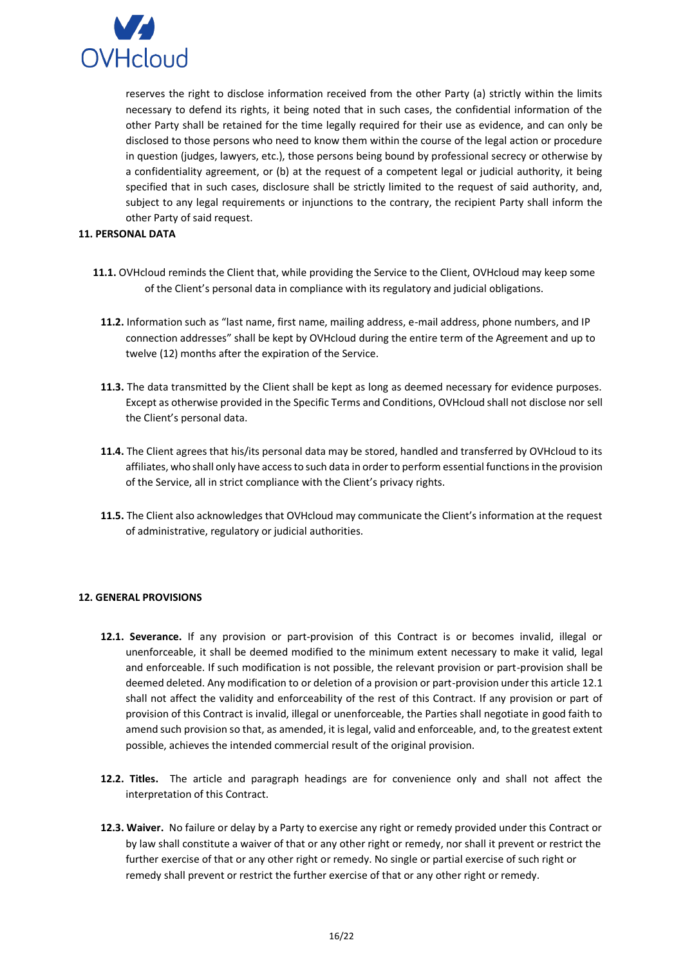

reserves the right to disclose information received from the other Party (a) strictly within the limits necessary to defend its rights, it being noted that in such cases, the confidential information of the other Party shall be retained for the time legally required for their use as evidence, and can only be disclosed to those persons who need to know them within the course of the legal action or procedure in question (judges, lawyers, etc.), those persons being bound by professional secrecy or otherwise by a confidentiality agreement, or (b) at the request of a competent legal or judicial authority, it being specified that in such cases, disclosure shall be strictly limited to the request of said authority, and, subject to any legal requirements or injunctions to the contrary, the recipient Party shall inform the other Party of said request.

#### <span id="page-15-0"></span>**11. PERSONAL DATA**

- **11.1.** OVHcloud reminds the Client that, while providing the Service to the Client, OVHcloud may keep some of the Client's personal data in compliance with its regulatory and judicial obligations.
	- **11.2.** Information such as "last name, first name, mailing address, e-mail address, phone numbers, and IP connection addresses" shall be kept by OVHcloud during the entire term of the Agreement and up to twelve (12) months after the expiration of the Service.
	- **11.3.** The data transmitted by the Client shall be kept as long as deemed necessary for evidence purposes. Except as otherwise provided in the Specific Terms and Conditions, OVHcloud shall not disclose nor sell the Client's personal data.
	- **11.4.** The Client agrees that his/its personal data may be stored, handled and transferred by OVHcloud to its affiliates, who shall only have access to such data in order to perform essential functions in the provision of the Service, all in strict compliance with the Client's privacy rights.
	- **11.5.** The Client also acknowledges that OVHcloud may communicate the Client's information at the request of administrative, regulatory or judicial authorities.

### <span id="page-15-1"></span>**12. GENERAL PROVISIONS**

- **12.1. Severance.** If any provision or part-provision of this Contract is or becomes invalid, illegal or unenforceable, it shall be deemed modified to the minimum extent necessary to make it valid, legal and enforceable. If such modification is not possible, the relevant provision or part-provision shall be deemed deleted. Any modification to or deletion of a provision or part-provision under this article 12.1 shall not affect the validity and enforceability of the rest of this Contract. If any provision or part of provision of this Contract is invalid, illegal or unenforceable, the Parties shall negotiate in good faith to amend such provision so that, as amended, it is legal, valid and enforceable, and, to the greatest extent possible, achieves the intended commercial result of the original provision.
- **12.2. Titles.** The article and paragraph headings are for convenience only and shall not affect the interpretation of this Contract.
- **12.3. Waiver.** No failure or delay by a Party to exercise any right or remedy provided under this Contract or by law shall constitute a waiver of that or any other right or remedy, nor shall it prevent or restrict the further exercise of that or any other right or remedy. No single or partial exercise of such right or remedy shall prevent or restrict the further exercise of that or any other right or remedy.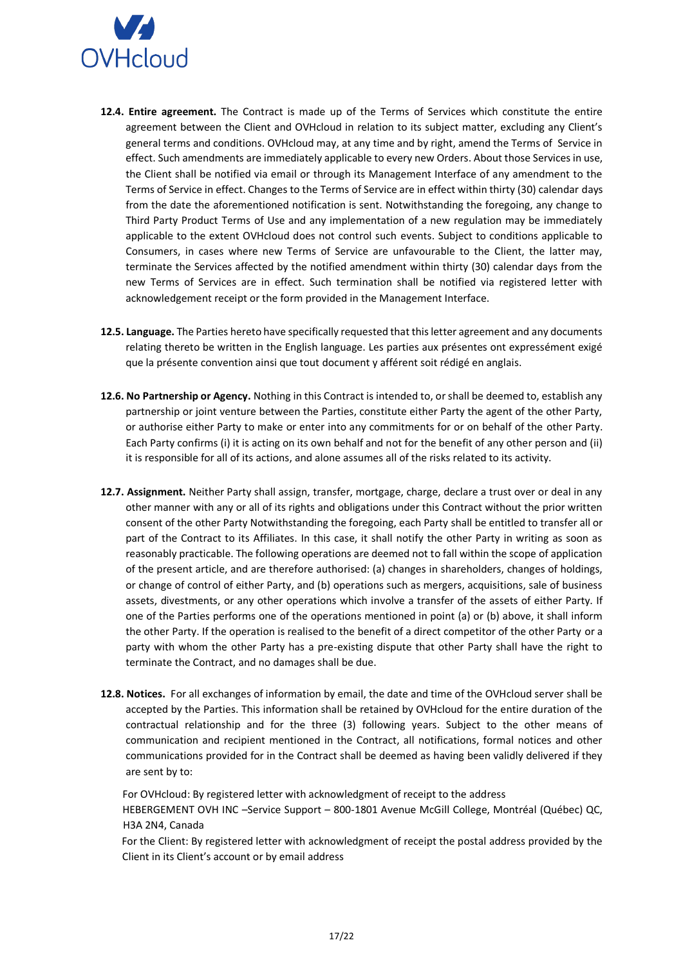

- **12.4. Entire agreement.** The Contract is made up of the Terms of Services which constitute the entire agreement between the Client and OVHcloud in relation to its subject matter, excluding any Client's general terms and conditions. OVHcloud may, at any time and by right, amend the Terms of Service in effect. Such amendments are immediately applicable to every new Orders. About those Services in use, the Client shall be notified via email or through its Management Interface of any amendment to the Terms of Service in effect. Changes to the Terms of Service are in effect within thirty (30) calendar days from the date the aforementioned notification is sent. Notwithstanding the foregoing, any change to Third Party Product Terms of Use and any implementation of a new regulation may be immediately applicable to the extent OVHcloud does not control such events. Subject to conditions applicable to Consumers, in cases where new Terms of Service are unfavourable to the Client, the latter may, terminate the Services affected by the notified amendment within thirty (30) calendar days from the new Terms of Services are in effect. Such termination shall be notified via registered letter with acknowledgement receipt or the form provided in the Management Interface.
- **12.5. Language.** The Parties hereto have specifically requested that this letter agreement and any documents relating thereto be written in the English language. Les parties aux présentes ont expressément exigé que la présente convention ainsi que tout document y afférent soit rédigé en anglais.
- **12.6. No Partnership or Agency.** Nothing in this Contract is intended to, or shall be deemed to, establish any partnership or joint venture between the Parties, constitute either Party the agent of the other Party, or authorise either Party to make or enter into any commitments for or on behalf of the other Party. Each Party confirms (i) it is acting on its own behalf and not for the benefit of any other person and (ii) it is responsible for all of its actions, and alone assumes all of the risks related to its activity.
- **12.7. Assignment.** Neither Party shall assign, transfer, mortgage, charge, declare a trust over or deal in any other manner with any or all of its rights and obligations under this Contract without the prior written consent of the other Party Notwithstanding the foregoing, each Party shall be entitled to transfer all or part of the Contract to its Affiliates. In this case, it shall notify the other Party in writing as soon as reasonably practicable. The following operations are deemed not to fall within the scope of application of the present article, and are therefore authorised: (a) changes in shareholders, changes of holdings, or change of control of either Party, and (b) operations such as mergers, acquisitions, sale of business assets, divestments, or any other operations which involve a transfer of the assets of either Party. If one of the Parties performs one of the operations mentioned in point (a) or (b) above, it shall inform the other Party. If the operation is realised to the benefit of a direct competitor of the other Party or a party with whom the other Party has a pre-existing dispute that other Party shall have the right to terminate the Contract, and no damages shall be due.
- **12.8. Notices.** For all exchanges of information by email, the date and time of the OVHcloud server shall be accepted by the Parties. This information shall be retained by OVHcloud for the entire duration of the contractual relationship and for the three (3) following years. Subject to the other means of communication and recipient mentioned in the Contract, all notifications, formal notices and other communications provided for in the Contract shall be deemed as having been validly delivered if they are sent by to:

For OVHcloud: By registered letter with acknowledgment of receipt to the address HEBERGEMENT OVH INC –Service Support – 800-1801 Avenue McGill College, Montréal (Québec) QC, H3A 2N4, Canada

For the Client: By registered letter with acknowledgment of receipt the postal address provided by the Client in its Client's account or by email address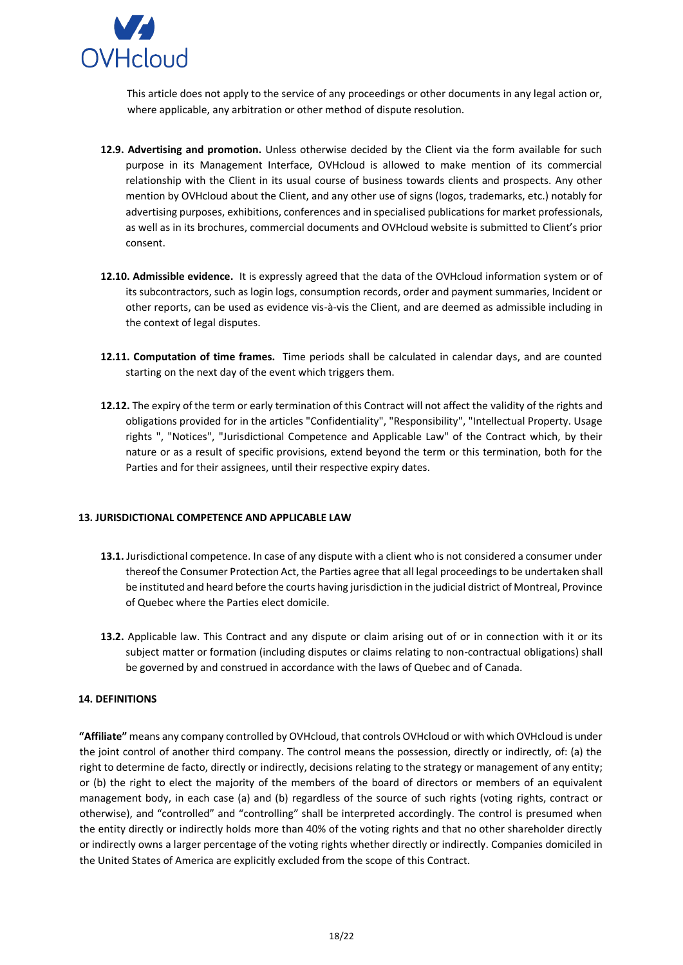

This article does not apply to the service of any proceedings or other documents in any legal action or, where applicable, any arbitration or other method of dispute resolution.

- **12.9. Advertising and promotion.** Unless otherwise decided by the Client via the form available for such purpose in its Management Interface, OVHcloud is allowed to make mention of its commercial relationship with the Client in its usual course of business towards clients and prospects. Any other mention by OVHcloud about the Client, and any other use of signs (logos, trademarks, etc.) notably for advertising purposes, exhibitions, conferences and in specialised publications for market professionals, as well as in its brochures, commercial documents and OVHcloud website is submitted to Client's prior consent.
- **12.10. Admissible evidence.** It is expressly agreed that the data of the OVHcloud information system or of its subcontractors, such as login logs, consumption records, order and payment summaries, Incident or other reports, can be used as evidence vis-à-vis the Client, and are deemed as admissible including in the context of legal disputes.
- **12.11. Computation of time frames.** Time periods shall be calculated in calendar days, and are counted starting on the next day of the event which triggers them.
- **12.12.** The expiry of the term or early termination of this Contract will not affect the validity of the rights and obligations provided for in the articles "Confidentiality", "Responsibility", "Intellectual Property. Usage rights ", "Notices", "Jurisdictional Competence and Applicable Law" of the Contract which, by their nature or as a result of specific provisions, extend beyond the term or this termination, both for the Parties and for their assignees, until their respective expiry dates.

### <span id="page-17-0"></span>**13. JURISDICTIONAL COMPETENCE AND APPLICABLE LAW**

- **13.1.** Jurisdictional competence. In case of any dispute with a client who is not considered a consumer under thereof the Consumer Protection Act, the Parties agree that all legal proceedings to be undertaken shall be instituted and heard before the courts having jurisdiction in the judicial district of Montreal, Province of Quebec where the Parties elect domicile.
- **13.2.** Applicable law. This Contract and any dispute or claim arising out of or in connection with it or its subject matter or formation (including disputes or claims relating to non-contractual obligations) shall be governed by and construed in accordance with the laws of Quebec and of Canada.

### <span id="page-17-1"></span>**14. DEFINITIONS**

**"Affiliate"** means any company controlled by OVHcloud, that controls OVHcloud or with which OVHcloud is under the joint control of another third company. The control means the possession, directly or indirectly, of: (a) the right to determine de facto, directly or indirectly, decisions relating to the strategy or management of any entity; or (b) the right to elect the majority of the members of the board of directors or members of an equivalent management body, in each case (a) and (b) regardless of the source of such rights (voting rights, contract or otherwise), and "controlled" and "controlling" shall be interpreted accordingly. The control is presumed when the entity directly or indirectly holds more than 40% of the voting rights and that no other shareholder directly or indirectly owns a larger percentage of the voting rights whether directly or indirectly. Companies domiciled in the United States of America are explicitly excluded from the scope of this Contract.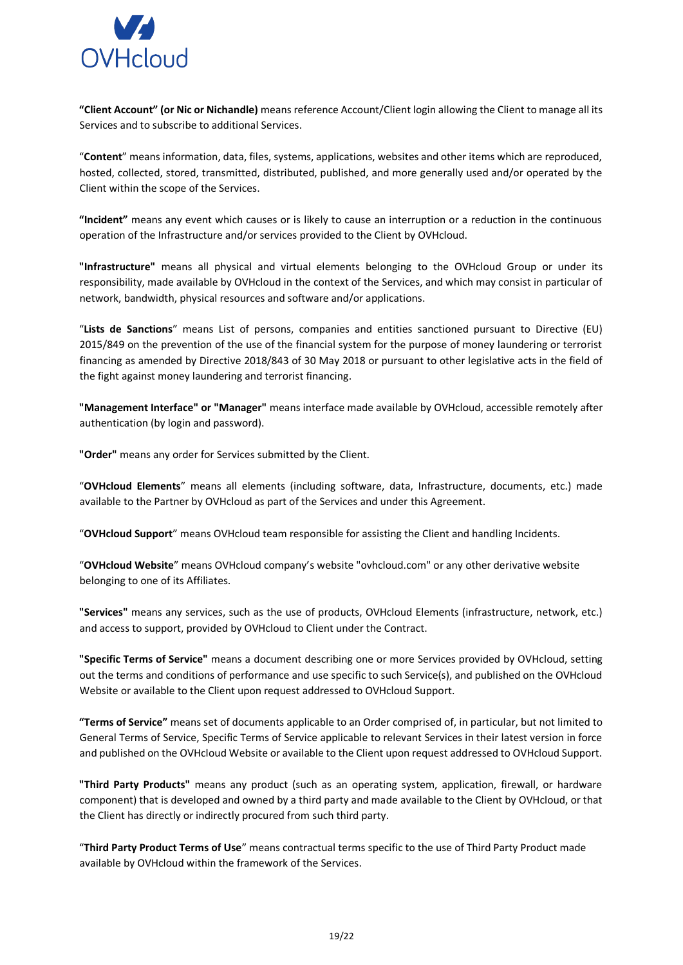

**"Client Account" (or Nic or Nichandle)** means reference Account/Client login allowing the Client to manage all its Services and to subscribe to additional Services.

"**Content**" means information, data, files, systems, applications, websites and other items which are reproduced, hosted, collected, stored, transmitted, distributed, published, and more generally used and/or operated by the Client within the scope of the Services.

**"Incident"** means any event which causes or is likely to cause an interruption or a reduction in the continuous operation of the Infrastructure and/or services provided to the Client by OVHcloud.

**"Infrastructure"** means all physical and virtual elements belonging to the OVHcloud Group or under its responsibility, made available by OVHcloud in the context of the Services, and which may consist in particular of network, bandwidth, physical resources and software and/or applications.

"**Lists de Sanctions**" means List of persons, companies and entities sanctioned pursuant to Directive (EU) 2015/849 on the prevention of the use of the financial system for the purpose of money laundering or terrorist financing as amended by Directive 2018/843 of 30 May 2018 or pursuant to other legislative acts in the field of the fight against money laundering and terrorist financing.

**"Management Interface" or "Manager"** means interface made available by OVHcloud, accessible remotely after authentication (by login and password).

**"Order"** means any order for Services submitted by the Client.

"**OVHcloud Elements**" means all elements (including software, data, Infrastructure, documents, etc.) made available to the Partner by OVHcloud as part of the Services and under this Agreement.

"**OVHcloud Support**" means OVHcloud team responsible for assisting the Client and handling Incidents.

"**OVHcloud Website**" means OVHcloud company's website "ovhcloud.com" or any other derivative website belonging to one of its Affiliates.

**"Services"** means any services, such as the use of products, OVHcloud Elements (infrastructure, network, etc.) and access to support, provided by OVHcloud to Client under the Contract.

**"Specific Terms of Service"** means a document describing one or more Services provided by OVHcloud, setting out the terms and conditions of performance and use specific to such Service(s), and published on the OVHcloud Website or available to the Client upon request addressed to OVHcloud Support.

**"Terms of Service"** means set of documents applicable to an Order comprised of, in particular, but not limited to General Terms of Service, Specific Terms of Service applicable to relevant Services in their latest version in force and published on the OVHcloud Website or available to the Client upon request addressed to OVHcloud Support.

**"Third Party Products"** means any product (such as an operating system, application, firewall, or hardware component) that is developed and owned by a third party and made available to the Client by OVHcloud, or that the Client has directly or indirectly procured from such third party.

"**Third Party Product Terms of Use**" means contractual terms specific to the use of Third Party Product made available by OVHcloud within the framework of the Services.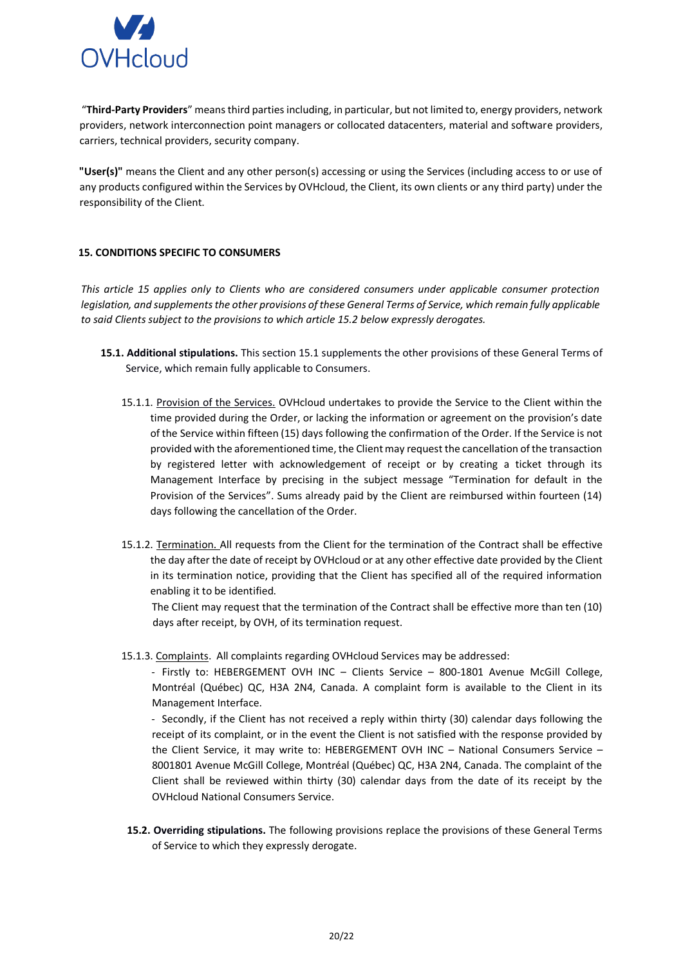

"**Third-Party Providers**" means third parties including, in particular, but not limited to, energy providers, network providers, network interconnection point managers or collocated datacenters, material and software providers, carriers, technical providers, security company.

**"User(s)"** means the Client and any other person(s) accessing or using the Services (including access to or use of any products configured within the Services by OVHcloud, the Client, its own clients or any third party) under the responsibility of the Client.

# <span id="page-19-0"></span>**15. CONDITIONS SPECIFIC TO CONSUMERS**

*This article 15 applies only to Clients who are considered consumers under applicable consumer protection legislation, and supplements the other provisions of these General Terms of Service, which remain fully applicable to said Clients subject to the provisions to which article 15.2 below expressly derogates.* 

- **15.1. Additional stipulations.** This section 15.1 supplements the other provisions of these General Terms of Service, which remain fully applicable to Consumers.
	- 15.1.1. Provision of the Services. OVHcloud undertakes to provide the Service to the Client within the time provided during the Order, or lacking the information or agreement on the provision's date of the Service within fifteen (15) days following the confirmation of the Order. If the Service is not provided with the aforementioned time, the Client may request the cancellation of the transaction by registered letter with acknowledgement of receipt or by creating a ticket through its Management Interface by precising in the subject message "Termination for default in the Provision of the Services". Sums already paid by the Client are reimbursed within fourteen (14) days following the cancellation of the Order.
	- 15.1.2. Termination. All requests from the Client for the termination of the Contract shall be effective the day after the date of receipt by OVHcloud or at any other effective date provided by the Client in its termination notice, providing that the Client has specified all of the required information enabling it to be identified.

The Client may request that the termination of the Contract shall be effective more than ten (10) days after receipt, by OVH, of its termination request.

15.1.3. Complaints. All complaints regarding OVHcloud Services may be addressed:

- Firstly to: HEBERGEMENT OVH INC – Clients Service – 800-1801 Avenue McGill College, Montréal (Québec) QC, H3A 2N4, Canada. A complaint form is available to the Client in its Management Interface.

- Secondly, if the Client has not received a reply within thirty (30) calendar days following the receipt of its complaint, or in the event the Client is not satisfied with the response provided by the Client Service, it may write to: HEBERGEMENT OVH INC – National Consumers Service – 8001801 Avenue McGill College, Montréal (Québec) QC, H3A 2N4, Canada. The complaint of the Client shall be reviewed within thirty (30) calendar days from the date of its receipt by the OVHcloud National Consumers Service.

**15.2. Overriding stipulations.** The following provisions replace the provisions of these General Terms of Service to which they expressly derogate.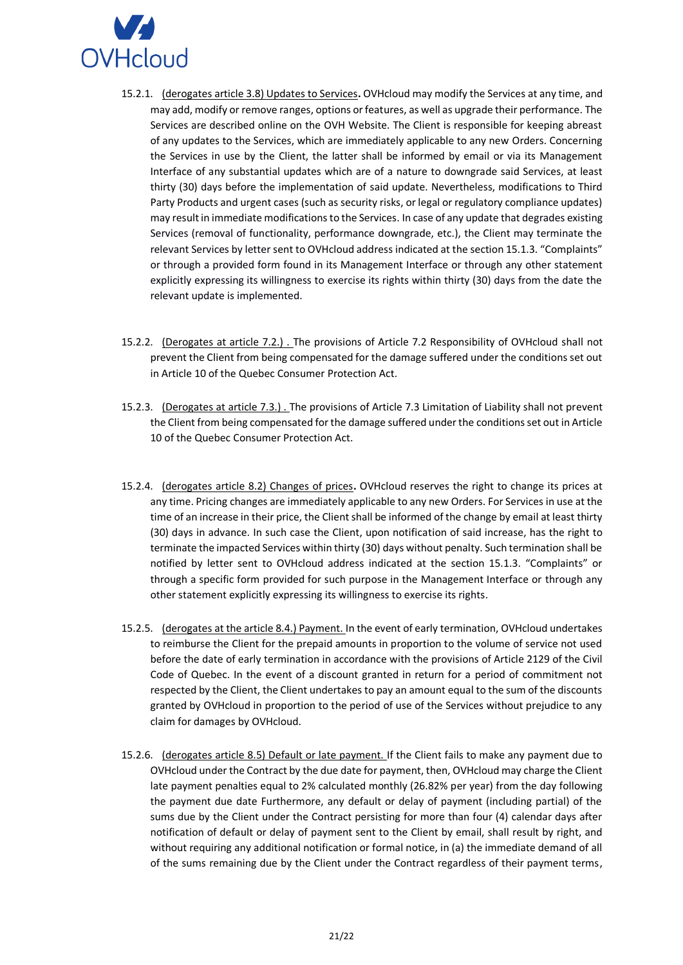

- 15.2.1. (derogates article 3.8) Updates to Services**.** OVHcloud may modify the Services at any time, and may add, modify or remove ranges, options or features, as well as upgrade their performance. The Services are described online on the OVH Website. The Client is responsible for keeping abreast of any updates to the Services, which are immediately applicable to any new Orders. Concerning the Services in use by the Client, the latter shall be informed by email or via its Management Interface of any substantial updates which are of a nature to downgrade said Services, at least thirty (30) days before the implementation of said update. Nevertheless, modifications to Third Party Products and urgent cases (such as security risks, or legal or regulatory compliance updates) may result in immediate modifications to the Services. In case of any update that degrades existing Services (removal of functionality, performance downgrade, etc.), the Client may terminate the relevant Services by letter sent to OVHcloud address indicated at the section 15.1.3. "Complaints" or through a provided form found in its Management Interface or through any other statement explicitly expressing its willingness to exercise its rights within thirty (30) days from the date the relevant update is implemented.
- 15.2.2. (Derogates at article 7.2.) . The provisions of Article 7.2 Responsibility of OVHcloud shall not prevent the Client from being compensated for the damage suffered under the conditions set out in Article 10 of the Quebec Consumer Protection Act.
- 15.2.3. (Derogates at article 7.3.) . The provisions of Article 7.3 Limitation of Liability shall not prevent the Client from being compensated for the damage suffered under the conditions set out in Article 10 of the Quebec Consumer Protection Act.
- 15.2.4. (derogates article 8.2) Changes of prices**.** OVHcloud reserves the right to change its prices at any time. Pricing changes are immediately applicable to any new Orders. For Services in use at the time of an increase in their price, the Client shall be informed of the change by email at least thirty (30) days in advance. In such case the Client, upon notification of said increase, has the right to terminate the impacted Services within thirty (30) days without penalty. Such termination shall be notified by letter sent to OVHcloud address indicated at the section 15.1.3. "Complaints" or through a specific form provided for such purpose in the Management Interface or through any other statement explicitly expressing its willingness to exercise its rights.
- 15.2.5. (derogates at the article 8.4.) Payment. In the event of early termination, OVHcloud undertakes to reimburse the Client for the prepaid amounts in proportion to the volume of service not used before the date of early termination in accordance with the provisions of Article 2129 of the Civil Code of Quebec. In the event of a discount granted in return for a period of commitment not respected by the Client, the Client undertakes to pay an amount equal to the sum of the discounts granted by OVHcloud in proportion to the period of use of the Services without prejudice to any claim for damages by OVHcloud.
- 15.2.6. (derogates article 8.5) Default or late payment. If the Client fails to make any payment due to OVHcloud under the Contract by the due date for payment, then, OVHcloud may charge the Client late payment penalties equal to 2% calculated monthly (26.82% per year) from the day following the payment due date Furthermore, any default or delay of payment (including partial) of the sums due by the Client under the Contract persisting for more than four (4) calendar days after notification of default or delay of payment sent to the Client by email, shall result by right, and without requiring any additional notification or formal notice, in (a) the immediate demand of all of the sums remaining due by the Client under the Contract regardless of their payment terms,